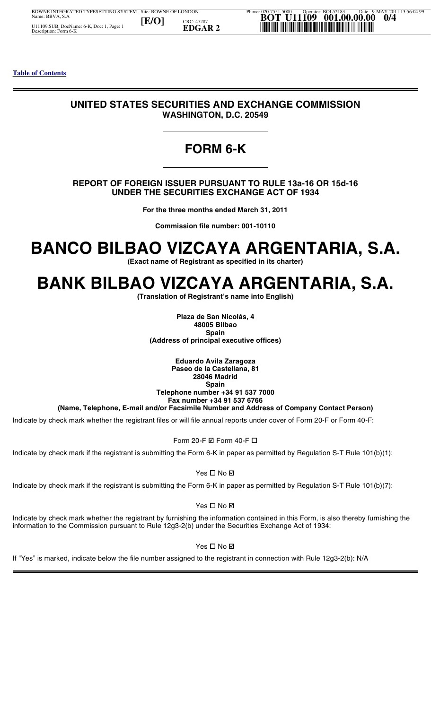### **UNITED STATES SECURITIES AND EXCHANGE COMMISSION WASHINGTON, D.C. 20549**

## **FORM 6-K**

#### **REPORT OF FOREIGN ISSUER PURSUANT TO RULE 13a-16 OR 15d-16 UNDER THE SECURITIES EXCHANGE ACT OF 1934**

**For the three months ended March 31, 2011**

**Commission file number: 001-10110**

## **BANCO BILBAO VIZCAYA ARGENTARIA, S.A.**

**(Exact name of Registrant as specified in its charter)**

## **BANK BILBAO VIZCAYA ARGENTARIA, S.A.**

**(Translation of Registrant's name into English)**

**Plaza de San Nicolás, 4 48005 Bilbao Spain (Address of principal executive offices)**

**Eduardo Avila Zaragoza Paseo de la Castellana, 81 28046 Madrid Spain Telephone number +34 91 537 7000 Fax number +34 91 537 6766** 

**(Name, Telephone, E-mail and/or Facsimile Number and Address of Company Contact Person)**

 $\overline{\phantom{a}}$ Indicate by check mark whether the registrant files or will file annual reports under cover of Form 20-F or Form 40-F:<br>Form 20-F ⊠ Form 40-F <mark>ロ</mark>

Form 20-F  $\boxtimes$  Form 40-F  $\Box$ 

Phone: 020-7551-5000 **BOT** Indicate by check mark if the registrant is submitting the Form 6-K in paper as permitted by Regulation S-T Rule 101(b)(1):

Yes - No

Indicate by check mark if the registrant is submitting the Form 6-K in paper as permitted by Regulation S-T Rule 101(b)(7):

Yes - No

 $\overline{a}$ dicat<br>dicat<br>dicat<br>form<br>"Yes Indicate by check mark whether the registrant by furnishing the information contained in this Form, is also thereby furnishing the information to the Commission pursuant to Rule 12g3-2(b) under the Securities Exchange Act of 1934:

Yes - No

Site: Bowe Of London: Bowler, Bowler, Bowler, Bowler, Bowler, Bowler, Bowler, Bowler, Bowler, Bowler, Bowler, Bowler, Bowler, Bowler, Bowler, Bowler, Bowler, Bowler, Bowler, Bowler, Bowler, Bowler, Bowler, Bowler, Bowler, If "Yes" is marked, indicate below the file number assigned to the registrant in connection with Rule 12g3-2(b): N/A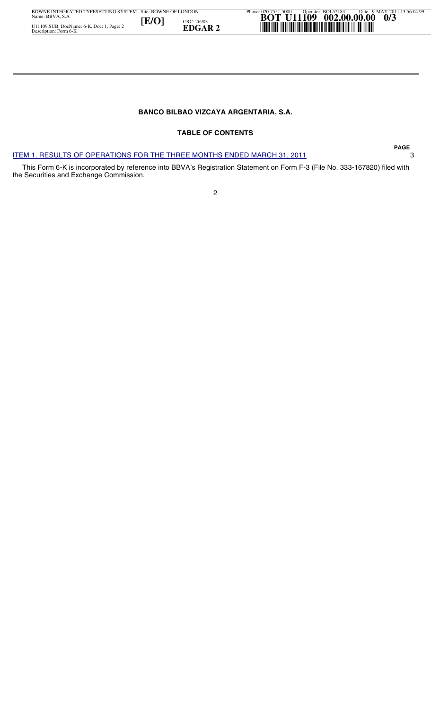#### **BANCO BILBAO VIZCAYA ARGENTARIA, S.A.**

#### **TABLE OF CONTENTS**

#### ITEM 1. RESULTS OF OPERATIONS FOR THE THREE MONTHS ENDED MARCH 31, 2011 3

 This Form 6-K is incorporated by reference into BBVA's Registration Statement on Form F-3 (File No. 333-167820) filed with the Securities and Exchange Commission.

2

**PAGE**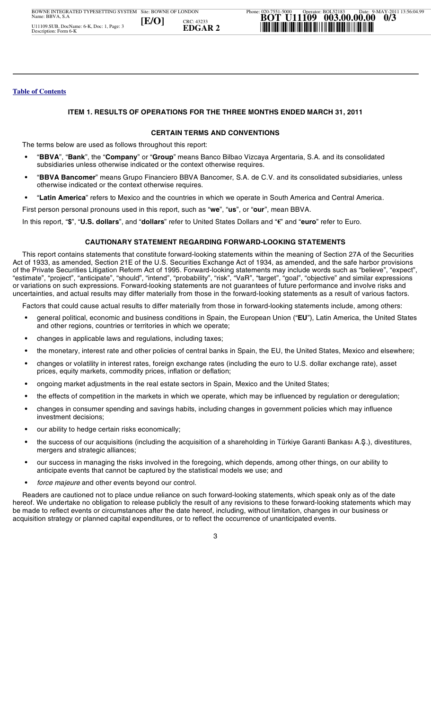#### **ITEM 1. RESULTS OF OPERATIONS FOR THE THREE MONTHS ENDED MARCH 31, 2011**

#### **CERTAIN TERMS AND CONVENTIONS**

The terms below are used as follows throughout this report:

- **•** "**BBVA**", "**Bank**", the "**Company**" or "**Group**" means Banco Bilbao Vizcaya Argentaria, S.A. and its consolidated subsidiaries unless otherwise indicated or the context otherwise requires.
- **•** "**BBVA Bancomer**" means Grupo Financiero BBVA Bancomer, S.A. de C.V. and its consolidated subsidiaries, unless otherwise indicated or the context otherwise requires.
- **•** "**Latin America**" refers to Mexico and the countries in which we operate in South America and Central America.

First person personal pronouns used in this report, such as "**we**", "**us**", or "**our**", mean BBVA.

In this report, "**\$**", "**U.S. dollars**", and "**dollars**" refer to United States Dollars and "€" and "**euro**" refer to Euro.

#### **CAUTIONARY STATEMENT REGARDING FORWARD-LOOKING STATEMENTS**

 This report contains statements that constitute forward-looking statements within the meaning of Section 27A of the Securities Act of 1933, as amended, Section 21E of the U.S. Securities Exchange Act of 1934, as amended, and the safe harbor provisions of the Private Securities Litigation Reform Act of 1995. Forward-looking statements may include words such as "believe", "expect", "estimate", "project", "anticipate", "should", "intend", "probability", "risk", "VaR", "target", "goal", "objective" and similar expressions or variations on such expressions. Forward-looking statements are not guarantees of future performance and involve risks and uncertainties, and actual results may differ materially from those in the forward-looking statements as a result of various factors.

Factors that could cause actual results to differ materially from those in forward-looking statements include, among others:

- **•** general political, economic and business conditions in Spain, the European Union ("**EU**"), Latin America, the United States and other regions, countries or territories in which we operate;
- **•** changes in applicable laws and regulations, including taxes;
- **•** the monetary, interest rate and other policies of central banks in Spain, the EU, the United States, Mexico and elsewhere;
- **•** changes or volatility in interest rates, foreign exchange rates (including the euro to U.S. dollar exchange rate), asset prices, equity markets, commodity prices, inflation or deflation;
- **•** ongoing market adjustments in the real estate sectors in Spain, Mexico and the United States;
- **•** the effects of competition in the markets in which we operate, which may be influenced by regulation or deregulation;
- **•** changes in consumer spending and savings habits, including changes in government policies which may influence investment decisions;
- **•** our ability to hedge certain risks economically;
- **•** the success of our acquisitions (including the acquisition of a shareholding in Türkiye Garanti Bankası A..), divestitures, mergers and strategic alliances;
- **•** our success in managing the risks involved in the foregoing, which depends, among other things, on our ability to anticipate events that cannot be captured by the statistical models we use; and
- **•** *force majeure* and other events beyond our control.

**[E/O] EDGAR 2** \*U11109/003/3\* Readers are cautioned not to place undue reliance on such forward-looking statements, which speak only as of the date hereof. We undertake no obligation to release publicly the result of any revisions to these forward-looking statements which may be made to reflect events or circumstances after the date hereof, including, without limitation, changes in our business or acquisition strategy or planned capital expenditures, or to reflect the occurrence of unanticipated events.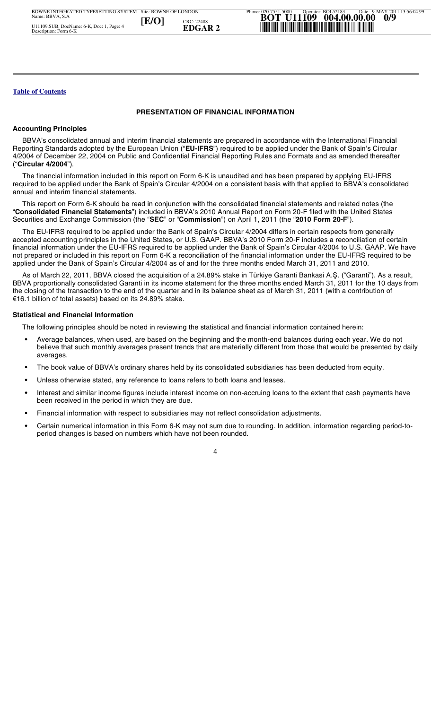#### **PRESENTATION OF FINANCIAL INFORMATION**

#### **Accounting Principles**

 BBVA's consolidated annual and interim financial statements are prepared in accordance with the International Financial Reporting Standards adopted by the European Union ("**EU-IFRS**") required to be applied under the Bank of Spain's Circular 4/2004 of December 22, 2004 on Public and Confidential Financial Reporting Rules and Formats and as amended thereafter ("**Circular 4/2004**").

 The financial information included in this report on Form 6-K is unaudited and has been prepared by applying EU-IFRS required to be applied under the Bank of Spain's Circular 4/2004 on a consistent basis with that applied to BBVA's consolidated annual and interim financial statements.

 This report on Form 6-K should be read in conjunction with the consolidated financial statements and related notes (the "**Consolidated Financial Statements**") included in BBVA's 2010 Annual Report on Form 20-F filed with the United States Securities and Exchange Commission (the "**SEC**" or "**Commission**") on April 1, 2011 (the "**2010 Form 20-F**").

 The EU-IFRS required to be applied under the Bank of Spain's Circular 4/2004 differs in certain respects from generally accepted accounting principles in the United States, or U.S. GAAP. BBVA's 2010 Form 20-F includes a reconciliation of certain financial information under the EU-IFRS required to be applied under the Bank of Spain's Circular 4/2004 to U.S. GAAP. We have not prepared or included in this report on Form 6-K a reconciliation of the financial information under the EU-IFRS required to be applied under the Bank of Spain's Circular 4/2004 as of and for the three months ended March 31, 2011 and 2010.

As of March 22, 2011, BBVA closed the acquisition of a 24.89% stake in Türkiye Garanti Bankasi A.Ş. ("Garanti"). As a result, BBVA proportionally consolidated Garanti in its income statement for the three months ended March 31, 2011 for the 10 days from the closing of the transaction to the end of the quarter and in its balance sheet as of March 31, 2011 (with a contribution of €16.1 billion of total assets) based on its 24.89% stake.

# Date: 9-MAY-2011 13:56:04.99 **Statistical and Financial Information**

The following principles should be noted in reviewing the statistical and financial information contained herein:

- **•** Average balances, when used, are based on the beginning and the month-end balances during each year. We do not believe that such monthly averages present trends that are materially different from those that would be presented by daily averages.
- **•** The book value of BBVA's ordinary shares held by its consolidated subsidiaries has been deducted from equity.
- **•** Unless otherwise stated, any reference to loans refers to both loans and leases.
- **[E/O] EDGAR 2** \*U11109/004/9\* **•** Interest and similar income figures include interest income on non-accruing loans to the extent that cash payments have been received in the period in which they are due.
	- **•** Financial information with respect to subsidiaries may not reflect consolidation adjustments.
	- **•** Certain numerical information in this Form 6-K may not sum due to rounding. In addition, information regarding period-toperiod changes is based on numbers which have not been rounded.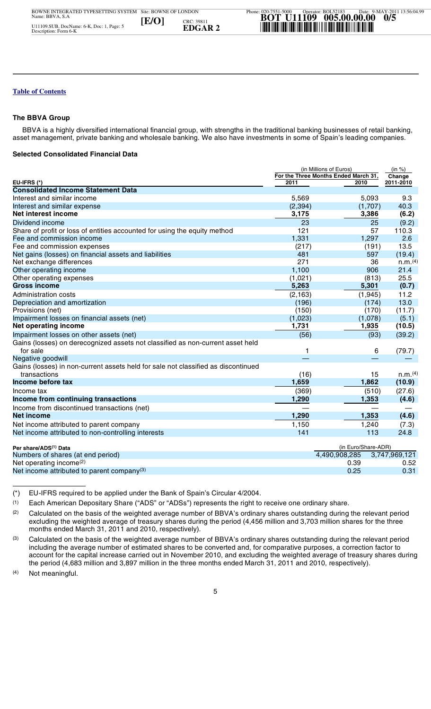#### **The BBVA Group**

 BBVA is a highly diversified international financial group, with strengths in the traditional banking businesses of retail banking, asset management, private banking and wholesale banking. We also have investments in some of Spain's leading companies.

#### **Selected Consolidated Financial Data**

|       |                                                                                                                                                                                                                                                                                                                                                                        | (in Millions of Euros) |                                      | (in %)        |  |  |
|-------|------------------------------------------------------------------------------------------------------------------------------------------------------------------------------------------------------------------------------------------------------------------------------------------------------------------------------------------------------------------------|------------------------|--------------------------------------|---------------|--|--|
|       |                                                                                                                                                                                                                                                                                                                                                                        |                        | For the Three Months Ended March 31, | Change        |  |  |
|       | EU-IFRS (*)                                                                                                                                                                                                                                                                                                                                                            | 2011                   | 2010                                 | 2011-2010     |  |  |
|       | <b>Consolidated Income Statement Data</b>                                                                                                                                                                                                                                                                                                                              |                        |                                      |               |  |  |
|       | Interest and similar income                                                                                                                                                                                                                                                                                                                                            | 5,569                  | 5,093                                | 9.3           |  |  |
|       | Interest and similar expense                                                                                                                                                                                                                                                                                                                                           | (2, 394)               | (1,707)                              | 40.3          |  |  |
|       | Net interest income                                                                                                                                                                                                                                                                                                                                                    | 3,175                  | 3,386                                | (6.2)         |  |  |
|       | Dividend income                                                                                                                                                                                                                                                                                                                                                        | 23                     | 25                                   | (9.2)         |  |  |
|       | Share of profit or loss of entities accounted for using the equity method                                                                                                                                                                                                                                                                                              | 121                    | 57                                   | 110.3         |  |  |
|       | Fee and commission income                                                                                                                                                                                                                                                                                                                                              | 1,331                  | 1,297                                | 2.6           |  |  |
|       | Fee and commission expenses                                                                                                                                                                                                                                                                                                                                            | (217)                  | (191)                                | 13.5          |  |  |
|       | Net gains (losses) on financial assets and liabilities                                                                                                                                                                                                                                                                                                                 | 481                    | 597                                  | (19.4)        |  |  |
|       | Net exchange differences                                                                                                                                                                                                                                                                                                                                               | 271                    | 36                                   | n.m.(4)       |  |  |
|       | Other operating income                                                                                                                                                                                                                                                                                                                                                 | 1,100                  | 906                                  | 21.4          |  |  |
|       | Other operating expenses                                                                                                                                                                                                                                                                                                                                               | (1,021)                | (813)                                | 25.5          |  |  |
|       | <b>Gross income</b>                                                                                                                                                                                                                                                                                                                                                    | 5,263                  | 5,301                                | (0.7)         |  |  |
|       | <b>Administration costs</b>                                                                                                                                                                                                                                                                                                                                            | (2, 163)               | (1,945)                              | 11.2          |  |  |
|       | Depreciation and amortization                                                                                                                                                                                                                                                                                                                                          | (196)                  | (174)                                | 13.0          |  |  |
|       | Provisions (net)                                                                                                                                                                                                                                                                                                                                                       | (150)                  | (170)                                | (11.7)        |  |  |
|       | Impairment losses on financial assets (net)                                                                                                                                                                                                                                                                                                                            | (1,023)                | (1,078)                              | (5.1)         |  |  |
|       | Net operating income                                                                                                                                                                                                                                                                                                                                                   | 1,731                  | 1,935                                | (10.5)        |  |  |
|       |                                                                                                                                                                                                                                                                                                                                                                        |                        |                                      |               |  |  |
|       | Impairment losses on other assets (net)                                                                                                                                                                                                                                                                                                                                | (56)                   | (93)                                 | (39.2)        |  |  |
|       | Gains (losses) on derecognized assets not classified as non-current asset held                                                                                                                                                                                                                                                                                         |                        |                                      |               |  |  |
|       | for sale                                                                                                                                                                                                                                                                                                                                                               | 1                      | 6                                    | (79.7)        |  |  |
|       | Negative goodwill                                                                                                                                                                                                                                                                                                                                                      |                        |                                      |               |  |  |
|       | Gains (losses) in non-current assets held for sale not classified as discontinued                                                                                                                                                                                                                                                                                      |                        |                                      |               |  |  |
|       | transactions                                                                                                                                                                                                                                                                                                                                                           | (16)                   | 15                                   | n.m.(4)       |  |  |
|       | Income before tax                                                                                                                                                                                                                                                                                                                                                      | 1,659                  | 1,862                                | (10.9)        |  |  |
|       | Income tax                                                                                                                                                                                                                                                                                                                                                             | (369)                  | (510)                                | (27.6)        |  |  |
|       | Income from continuing transactions                                                                                                                                                                                                                                                                                                                                    | 1,290                  | 1,353                                | (4.6)         |  |  |
|       | Income from discontinued transactions (net)                                                                                                                                                                                                                                                                                                                            |                        |                                      |               |  |  |
|       | <b>Net income</b>                                                                                                                                                                                                                                                                                                                                                      | 1,290                  | 1,353                                | (4.6)         |  |  |
|       | Net income attributed to parent company                                                                                                                                                                                                                                                                                                                                | 1,150                  | 1,240                                | (7.3)         |  |  |
|       | Net income attributed to non-controlling interests                                                                                                                                                                                                                                                                                                                     | 141                    | 113                                  | 24.8          |  |  |
|       |                                                                                                                                                                                                                                                                                                                                                                        |                        |                                      |               |  |  |
|       | Per share/ADS <sup>(1)</sup> Data                                                                                                                                                                                                                                                                                                                                      |                        | (in Euro/Share-ADR)                  |               |  |  |
|       | Numbers of shares (at end period)                                                                                                                                                                                                                                                                                                                                      |                        | 4,490,908,285                        | 3,747,969,121 |  |  |
|       | Net operating income <sup>(2)</sup>                                                                                                                                                                                                                                                                                                                                    |                        | 0.39                                 | 0.52          |  |  |
|       | Net income attributed to parent company(3)                                                                                                                                                                                                                                                                                                                             |                        | 0.25                                 | 0.31          |  |  |
|       |                                                                                                                                                                                                                                                                                                                                                                        |                        |                                      |               |  |  |
|       |                                                                                                                                                                                                                                                                                                                                                                        |                        |                                      |               |  |  |
| $(*)$ | EU-IFRS required to be applied under the Bank of Spain's Circular 4/2004.                                                                                                                                                                                                                                                                                              |                        |                                      |               |  |  |
| (1)   | Each American Depositary Share ("ADS" or "ADSs") represents the right to receive one ordinary share.                                                                                                                                                                                                                                                                   |                        |                                      |               |  |  |
| (2)   |                                                                                                                                                                                                                                                                                                                                                                        |                        |                                      |               |  |  |
|       | Calculated on the basis of the weighted average number of BBVA's ordinary shares outstanding during the relevant period<br>excluding the weighted average of treasury shares during the period (4,456 million and 3,703 million shares for the three<br>months ended March 31, 2011 and 2010, respectively).                                                           |                        |                                      |               |  |  |
| (3)   | Calculated on the basis of the weighted average number of BBVA's ordinary shares outstanding during the relevant period                                                                                                                                                                                                                                                |                        |                                      |               |  |  |
|       | including the average number of estimated shares to be converted and, for comparative purposes, a correction factor to<br>account for the capital increase carried out in November 2010, and excluding the weighted average of treasury shares during<br>the period (4,683 million and 3,897 million in the three months ended March 31, 2011 and 2010, respectively). |                        |                                      |               |  |  |
| (4)   | Not meaningful.                                                                                                                                                                                                                                                                                                                                                        |                        |                                      |               |  |  |
|       |                                                                                                                                                                                                                                                                                                                                                                        |                        |                                      |               |  |  |
|       | г,                                                                                                                                                                                                                                                                                                                                                                     |                        |                                      |               |  |  |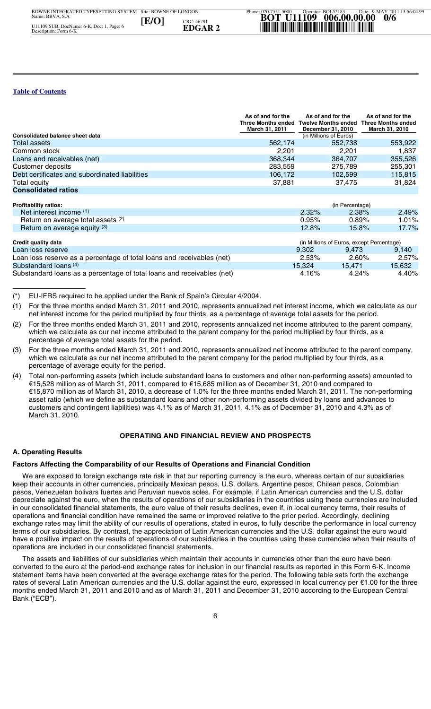|                                                | As of and for the<br>March 31, 2011 | As of and for the<br>Three Months ended Twelve Months ended<br>December 31, 2010 | As of and for the<br><b>Three Months ended</b><br>March 31, 2010 |
|------------------------------------------------|-------------------------------------|----------------------------------------------------------------------------------|------------------------------------------------------------------|
| <b>Consolidated balance sheet data</b>         |                                     | (in Millions of Euros)                                                           |                                                                  |
| Total assets                                   | 562,174                             | 552.738                                                                          | 553,922                                                          |
| Common stock                                   | 2.201                               | 2.201                                                                            | 1.837                                                            |
| Loans and receivables (net)                    | 368,344                             | 364,707                                                                          | 355,526                                                          |
| Customer deposits                              | 283.559                             | 275.789                                                                          | 255.301                                                          |
| Debt certificates and subordinated liabilities | 106.172                             | 102,599                                                                          | 115.815                                                          |
| Total equity                                   | 37.881                              | 37.475                                                                           | 31,824                                                           |
| <b>Consolidated ratios</b>                     |                                     |                                                                                  |                                                                  |

| Profitability ratios:              | (in Percentage) |          |         |  |
|------------------------------------|-----------------|----------|---------|--|
| Net interest income (1)            | 2.32%           | $2.38\%$ | 2.49%   |  |
| Return on average total assets (2) | 0.95%           | $0.89\%$ | .01%    |  |
| Return on average equity (3)       | 12.8%           | $15.8\%$ | $7.7\%$ |  |

| Credit quality data                                                    | (in Millions of Euros, except Percentage) |          |        |
|------------------------------------------------------------------------|-------------------------------------------|----------|--------|
| Loan loss reserve                                                      | 9.302                                     | 9.473    | 9.140  |
| Loan loss reserve as a percentage of total loans and receivables (net) | 2.53%                                     | 2.60%    | 2.57%  |
| Substandard loans (4)                                                  | 15.324                                    | 15.471   | 15.632 |
| Substandard loans as a percentage of total loans and receivables (net) | $4.16\%$                                  | $4.24\%$ | 4.40%  |

(\*) EU-IFRS required to be applied under the Bank of Spain's Circular 4/2004.

- (1) For the three months ended March 31, 2011 and 2010, represents annualized net interest income, which we calculate as our net interest income for the period multiplied by four thirds, as a percentage of average total assets for the period.
- Date: 9-MAY-2011 13:56:04.99 (2) For the three months ended March 31, 2011 and 2010, represents annualized net income attributed to the parent company, which we calculate as our net income attributed to the parent company for the period multiplied by four thirds, as a percentage of average total assets for the period.
- percentage of average total assets for the period.<br>(3) For the three months ended March 31, 2011 and 2010, represents annualized net income attributed to the parent company, which we calculate as our net income attributed to the parent company for the period multiplied by four thirds, as a percentage of average equity for the period.
- **(4)** (4) Total non-performing assets (which include substandard loans to customers and other non-performing assets) amounted to €15,528 million as of March 31, 2011, compared to €15,685 million as of December 31, 2010 and compared to €15,870 million as of March 31, 2010, a decrease of 1.0% for the three months ended March 31, 2011. The non-performing asset ratio (which we define as substandard loans and other non-performing assets divided by loans and advances to customers and contingent liabilities) was 4.1% as of March 31, 2011, 4.1% as of December 31, 2010 and 4.3% as of March 31, 2010.

#### **OPERATING AND FINANCIAL REVIEW AND PROSPECTS**

#### **A. Operating Results**

# **A. Operating riesults**<br>Factors Affecting the Comparability of our Results of Operations and Financial Condition

n<br>e  $\frac{1}{2}$ [P|T|T|E<br> **E**<br>
E a c c M<br>
C A<br>
C Meep t<br>
Meep t<br>
Sespred Current The Secret The Secret The Secret The Secret Conth We are exposed to foreign exchange rate risk in that our reporting currency is the euro, whereas certain of our subsidiaries keep their accounts in other currencies, principally Mexican pesos, U.S. dollars, Argentine pesos, Chilean pesos, Colombian pesos, Venezuelan bolivars fuertes and Peruvian nuevos soles. For example, if Latin American currencies and the U.S. dollar depreciate against the euro, when the results of operations of our subsidiaries in the countries using these currencies are included in our consolidated financial statements, the euro value of their results declines, even if, in local currency terms, their results of operations and financial condition have remained the same or improved relative to the prior period. Accordingly, declining exchange rates may limit the ability of our results of operations, stated in euros, to fully describe the performance in local currency terms of our subsidiaries. By contrast, the appreciation of Latin American currencies and the U.S. dollar against the euro would have a positive impact on the results of operations of our subsidiaries in the countries using these currencies when their results of operations are included in our consolidated financial statements.

B<sub>OW</sub> Site: BOWNE OF LONDON The assets and liabilities of our subsidiaries which maintain their accounts in currencies other than the euro have been converted to the euro at the period-end exchange rates for inclusion in our financial results as reported in this Form 6-K. Income statement items have been converted at the average exchange rates for the period. The following table sets forth the exchange rates of several Latin American currencies and the U.S. dollar against the euro, expressed in local currency per €1.00 for the three months ended March 31, 2011 and 2010 and as of March 31, 2011 and December 31, 2010 according to the European Central Bank ("ECB").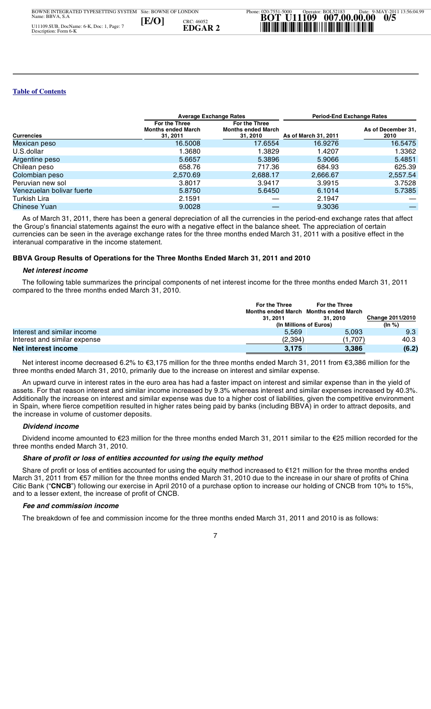| <b>Average Exchange Rates</b> |                                                               |                                                        | <b>Period-End Exchange Rates</b> |                            |
|-------------------------------|---------------------------------------------------------------|--------------------------------------------------------|----------------------------------|----------------------------|
| <b>Currencies</b>             | <b>For the Three</b><br><b>Months ended March</b><br>31, 2011 | For the Three<br><b>Months ended March</b><br>31, 2010 | As of March 31, 2011             | As of December 31,<br>2010 |
| Mexican peso                  | 16.5008                                                       | 17.6554                                                | 16.9276                          | 16.5475                    |
| U.S.dollar                    | 1.3680                                                        | 1.3829                                                 | 1.4207                           | 1.3362                     |
| Argentine peso                | 5.6657                                                        | 5.3896                                                 | 5.9066                           | 5.4851                     |
| Chilean peso                  | 658.76                                                        | 717.36                                                 | 684.93                           | 625.39                     |
| Colombian peso                | 2,570.69                                                      | 2,688.17                                               | 2,666.67                         | 2,557.54                   |
| Peruvian new sol              | 3.8017                                                        | 3.9417                                                 | 3.9915                           | 3.7528                     |
| Venezuelan bolivar fuerte     | 5.8750                                                        | 5.6450                                                 | 6.1014                           | 5.7385                     |
| Turkish Lira                  | 2.1591                                                        |                                                        | 2.1947                           |                            |
| Chinese Yuan                  | 9.0028                                                        |                                                        | 9.3036                           |                            |
|                               |                                                               |                                                        |                                  |                            |

 As of March 31, 2011, there has been a general depreciation of all the currencies in the period-end exchange rates that affect the Group's financial statements against the euro with a negative effect in the balance sheet. The appreciation of certain currencies can be seen in the average exchange rates for the three months ended March 31, 2011 with a positive effect in the interanual comparative in the income statement.

#### **BBVA Group Results of Operations for the Three Months Ended March 31, 2011 and 2010**

#### *Net interest income*

 The following table summarizes the principal components of net interest income for the three months ended March 31, 2011 compared to the three months ended March 31, 2010.

|                                                                                                                                                                                                                                 | For the Three | For the Three<br>Months ended March Months ended March |                         |
|---------------------------------------------------------------------------------------------------------------------------------------------------------------------------------------------------------------------------------|---------------|--------------------------------------------------------|-------------------------|
|                                                                                                                                                                                                                                 | 31.2011       | 31.2010<br>(In Millions of Euros)                      | <b>Change 2011/2010</b> |
|                                                                                                                                                                                                                                 |               |                                                        | (ln %)                  |
| Interest and similar income                                                                                                                                                                                                     | 5.569         | 5.093                                                  | 9.3                     |
| Interest and similar expense                                                                                                                                                                                                    | (2,394)       | (1,707)                                                | 40.3                    |
| Net interest income                                                                                                                                                                                                             | 3.175         | 3,386                                                  | (6.2)                   |
| Net interest income decreased 6.2% to €3,175 million for the three months ended March 31, 2011 from €3,386 million for the<br>three months ended March 31, 2010, primarily due to the increase on interest and similar expense. |               |                                                        |                         |

ة<br>i<br>t hr<br>ass<br>Ad<br>n ( Net ree r<br> **An** ssets<br> **EXPLACE 2** income r<br> **EXPLACE 2** 5 hand<br> **EXPLACE 2** The The An upward curve in interest rates in the euro area has had a faster impact on interest and similar expense than in the yield of assets. For that reason interest and similar income increased by 9.3% whereas interest and similar expenses increased by 40.3%. Additionally the increase on interest and similar expense was due to a higher cost of liabilities, given the competitive environment in Spain, where fierce competition resulted in higher rates being paid by banks (including BBVA) in order to attract deposits, and the increase in volume of customer deposits.

#### *Dividend income*

**Dividend income**<br>Dividend income amounted to €23<br>three months ended March 31, 2010. Dividend income amounted to €23 million for the three months ended March 31, 2011 similar to the €25 million recorded for the

#### *Share of profit or loss of entities accounted for using the equity method*

Phone: 020-7551-5000 Share of profit or loss of entities accounted for using the equity method increased to €121 million for the three months ended March 31, 2011 from €57 million for the three months ended March 31, 2010 due to the increase in our share of profits of China Citic Bank ("**CNCB**") following our exercise in April 2010 of a purchase option to increase our holding of CNCB from 10% to 15%, and to a lesser extent, the increase of profit of CNCB.

#### *Fee and commission income*

The breakdown of fee and commission income for the three months ended March 31, 2011 and 2010 is as follows: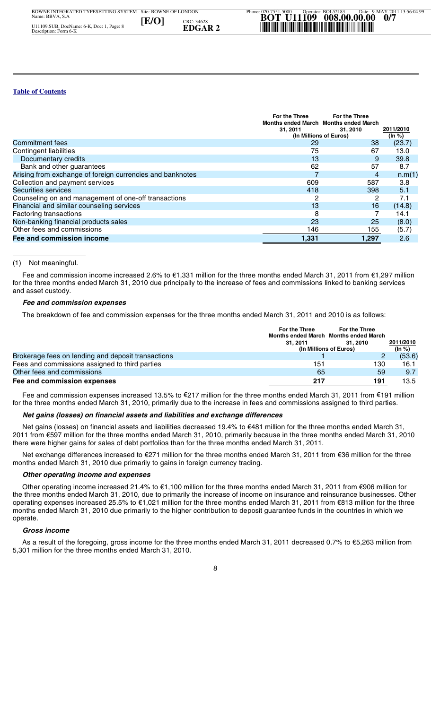|                                                           | For the Three<br>Months ended March Months ended March | For the Three |                     |
|-----------------------------------------------------------|--------------------------------------------------------|---------------|---------------------|
|                                                           | 31, 2011<br>(In Millions of Euros)                     | 31, 2010      | 2011/2010<br>(ln %) |
| Commitment fees                                           | 29                                                     | 38            | (23.7)              |
| Contingent liabilities                                    | 75                                                     | 67            | 13.0                |
| Documentary credits                                       | 13                                                     | 9             | 39.8                |
| Bank and other guarantees                                 | 62                                                     | 57            | 8.7                 |
| Arising from exchange of foreign currencies and banknotes |                                                        | 4             | n.m(1)              |
| Collection and payment services                           | 609                                                    | 587           | 3.8                 |
| Securities services                                       | 418                                                    | 398           | 5.1                 |
| Counseling on and management of one-off transactions      | 2                                                      | 2             | 7.1                 |
| Financial and similar counseling services                 | 13                                                     | 16            | (14.8)              |
| Factoring transactions                                    | 8                                                      |               | 14.1                |
| Non-banking financial products sales                      | 23                                                     | 25            | (8.0)               |
| Other fees and commissions                                | 146                                                    | 155           | (5.7)               |
| Fee and commission income                                 | 1.331                                                  | 1.297         | 2.6                 |

#### (1) Not meaningful.

 Fee and commission income increased 2.6% to €1,331 million for the three months ended March 31, 2011 from €1,297 million for the three months ended March 31, 2010 due principally to the increase of fees and commissions linked to banking services and asset custody.

#### *Fee and commission expenses*

| The breakdown of fee and commission expenses for the three months ended March 31, 2011 and 2010 is as follows:                                                                                                                                         |                                                               |                             |                  |
|--------------------------------------------------------------------------------------------------------------------------------------------------------------------------------------------------------------------------------------------------------|---------------------------------------------------------------|-----------------------------|------------------|
|                                                                                                                                                                                                                                                        | <b>For the Three</b><br>Months ended March Months ended March | For the Three               |                  |
|                                                                                                                                                                                                                                                        | 31.2011                                                       | 31.2010                     | 2011/2010        |
| Brokerage fees on lending and deposit transactions                                                                                                                                                                                                     |                                                               | (In Millions of Euros)<br>2 | (ln %)<br>(53.6) |
| Fees and commissions assigned to third parties                                                                                                                                                                                                         | 151                                                           | 130                         | 16.1             |
| Other fees and commissions                                                                                                                                                                                                                             | 65                                                            | 59                          | 9.7              |
| Fee and commission expenses                                                                                                                                                                                                                            | 217                                                           | 191                         | 13.5             |
| Fee and commission expenses increased 13.5% to €217 million for the three months ended March 31, 2011 from €191 million<br>for the three months ended March 31, 2010, primarily due to the increase in fees and commissions assigned to third parties. |                                                               |                             |                  |

 $\int$  Fee and commission expenses increased 13.5% to €217 million for the three months ended March 31, 2011 from €191 million for the three months ended March 31, 2010, primarily due to the increase in fees and commissions assigned to third parties.

#### *Net gains (losses) on financial assets and liabilities and exchange differences*

**20**<br>he Net gains (losses) on financial assets and liabilities decreased 19.4% to €481 million for the three months ended March 31, 2011 from €597 million for the three months ended March 31, 2010, primarily because in the three months ended March 31, 2010 there were higher gains for sales of debt portfolios than for the three months ended March 31, 2011.

Phone: 020-7551-5000 mc Net exchange differences increased to €271 million for the three months ended March 31, 2011 from €36 million for the three months ended March 31, 2010 due primarily to gains in foreign currency trading.

#### *Other operating income and expenses*

**[E/O] EDGAR 2** \*U11109/008/7\* Other operating income increased 21.4% to €1,100 million for the three months ended March 31, 2011 from €906 million for the three months ended March 31, 2010, due to primarily the increase of income on insurance and reinsurance businesses. Other operating expenses increased 25.5% to €1,021 million for the three months ended March 31, 2011 from €813 million for the three months ended March 31, 2010 due primarily to the higher contribution to deposit guarantee funds in the countries in which we operate.

#### *Gross income*

.<br>.<br>.<br>. Site: BOWNE OF LONDON As a result of the foregoing, gross income for the three months ended March 31, 2011 decreased 0.7% to €5,263 million from 5,301 million for the three months ended March 31, 2010.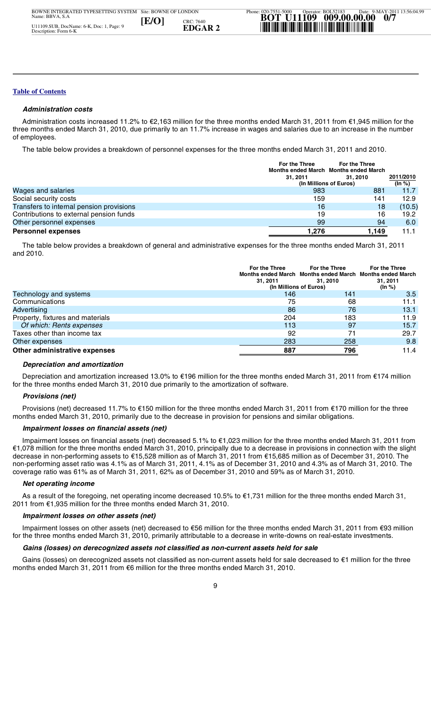#### *Administration costs*

 Administration costs increased 11.2% to €2,163 million for the three months ended March 31, 2011 from €1,945 million for the three months ended March 31, 2010, due primarily to an 11.7% increase in wages and salaries due to an increase in the number of employees.

The table below provides a breakdown of personnel expenses for the three months ended March 31, 2011 and 2010.

|                                          | For the Three<br>Months ended March Months ended March | For the Three |                     |
|------------------------------------------|--------------------------------------------------------|---------------|---------------------|
|                                          | 31.2011<br>(In Millions of Euros)                      | 31.2010       | 2011/2010<br>(ln %) |
| Wages and salaries                       | 983                                                    | 881           | 11.7                |
| Social security costs                    | 159                                                    | 141           | 12.9                |
| Transfers to internal pension provisions | 16                                                     | 18            | (10.5)              |
| Contributions to external pension funds  | 19                                                     | 16            | 19.2                |
| Other personnel expenses                 | 99                                                     | 94            | 6.0                 |
| <b>Personnel expenses</b>                | 1.276                                                  | 1,149         | 11.1                |

 The table below provides a breakdown of general and administrative expenses for the three months ended March 31, 2011 and 2010.

|                                                                                                                                                  | For the Three<br><b>For the Three</b><br>Months ended March Months ended March Months ended March<br>31.2011<br>31.2010<br>(In Millions of Euros) |     | <b>For the Three</b><br>31, 2011<br>(ln %) |
|--------------------------------------------------------------------------------------------------------------------------------------------------|---------------------------------------------------------------------------------------------------------------------------------------------------|-----|--------------------------------------------|
| Technology and systems                                                                                                                           | 146                                                                                                                                               | 141 | 3.5                                        |
| Communications                                                                                                                                   | 75                                                                                                                                                | 68  | 11.1                                       |
| Advertising                                                                                                                                      | 86                                                                                                                                                | 76  | 13.1                                       |
| Property, fixtures and materials                                                                                                                 | 204                                                                                                                                               | 183 | 11.9                                       |
| Of which: Rents expenses                                                                                                                         | 113                                                                                                                                               | 97  | 15.7                                       |
| Taxes other than income tax                                                                                                                      | 92                                                                                                                                                | 71  | 29.7                                       |
| Other expenses                                                                                                                                   | 283                                                                                                                                               | 258 | 9.8                                        |
| Other administrative expenses                                                                                                                    | 887                                                                                                                                               | 796 | 11.4                                       |
| Depreciation and amortization<br>the contract of the contract of the contract of the contract of the contract of the contract of the contract of |                                                                                                                                                   |     |                                            |

#### *Depreciation and amortization*

.<br>.<br>0r Depreciation and amortization increased 13.0% to €196 million for the three months ended March 31, 2011 from €174 million for the three months ended March 31, 2010 due primarily to the amortization of software.

#### *Provisions (net)*

 $\overline{a}$  Provisions (net) decreased 11.7% to €150 million for the three months ended March 31, 2011 from €170 million for the three months ended March 31, 2010, primarily due to the decrease in provision for pensions and similar obligations.

#### *Impairment losses on financial assets (net)*

 $\begin{array}{c}\n1 \\
1 \\
2\n\end{array}$ Impairment losses on financial assets (net)<br>Impairment losses on financial assets (net)<br> $\epsilon$ 1,078 million for the three months ended March 31, 2010, principally due to a decrease in provisions in connection with the sligh decrease in non-performing assets to €15,528 million as of March 31, 2011 from €15,685 million as of December 31, 2010. The<br>non-performing asset ratio was 4.1% as of March 31, 2011, 4.1% as of December 31, 2010 and 4.3% a **De**, Del<br> **Example 1 Product limit limit limit limit limit limit limit limit limit limit limit limit limit data Galerica Calcularism the Galerican but data Calcularism the Galerican control data Calcularism the Galerica**  Impairment losses on financial assets (net) decreased 5.1% to €1,023 million for the three months ended March 31, 2011 from decrease in non-performing assets to €15,528 million as of March 31, 2011 from €15,685 million as of December 31, 2010. The coverage ratio was 61% as of March 31, 2011, 62% as of December 31, 2010 and 59% as of March 31, 2010.

#### *Net operating income*

As a result of the foregoing, net operating income decreased 10.5% to  $\epsilon$ 1,731 million for the three months ended March 31, 2011 from €1,935 million for the three months ended March 31, 2010.

#### *Impairment losses on other assets (net)*

.<br>ا Impairment losses on other assets (net) decreased to €56 million for the three months ended March 31, 2011 from €93 million for the three months ended March 31, 2010, primarily attributable to a decrease in write-downs on real-estate investments.

#### *Gains (losses) on derecognized assets not classified as non-current assets held for sale*

Site: BOWNE OF LONDON Gains (losses) on derecognized assets not classified as non-current assets held for sale decreased to  $\epsilon$ 1 million for the three months ended March 31, 2011 from €6 million for the three months ended March 31, 2010.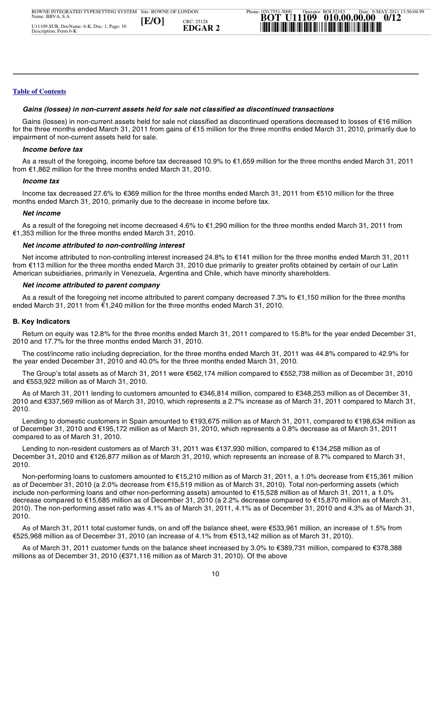#### *Gains (losses) in non-current assets held for sale not classified as discontinued transactions*

 Gains (losses) in non-current assets held for sale not classified as discontinued operations decreased to losses of €16 million for the three months ended March 31, 2011 from gains of €15 million for the three months ended March 31, 2010, primarily due to impairment of non-current assets held for sale.

#### *Income before tax*

 As a result of the foregoing, income before tax decreased 10.9% to €1,659 million for the three months ended March 31, 2011 from €1,862 million for the three months ended March 31, 2010.

#### *Income tax*

 Income tax decreased 27.6% to €369 million for the three months ended March 31, 2011 from €510 million for the three months ended March 31, 2010, primarily due to the decrease in income before tax.

#### *Net income*

 As a result of the foregoing net income decreased 4.6% to €1,290 million for the three months ended March 31, 2011 from €1,353 million for the three months ended March 31, 2010.

#### *Net income attributed to non-controlling interest*

 Net income attributed to non-controlling interest increased 24.8% to €141 million for the three months ended March 31, 2011 from €113 million for the three months ended March 31, 2010 due primarily to greater profits obtained by certain of our Latin American subsidiaries, primarily in Venezuela, Argentina and Chile, which have minority shareholders.

#### *Net income attributed to parent company*

 As a result of the foregoing net income attributed to parent company decreased 7.3% to €1,150 million for the three months ended March 31, 2011 from €1,240 million for the three months ended March 31, 2010.

#### **B. Key Indicators**

**12.8% for the three months ended March 31, 2010**<br>2010 and 17.7% for the three months ended March 31, 2010. Return on equity was 12.8% for the three months ended March 31, 2011 compared to 15.8% for the year ended December 31,

 $\begin{array}{c} 1 \\ 2 \\ 1 \end{array}$  The cost/income ratio including depreciation, for the three months ended March 31, 2011 was 44.8% compared to 42.9% for the year ended December 31, 2010 and 40.0% for the three months ended March 31, 2010.

 The Group's total assets as of March 31, 2011 were €562,174 million compared to €552,738 million as of December 31, 2010 and €553,922 million as of March 31, 2010.

Perator: BOL52183 he<br>an<br>20<sup>.</sup>0 As of March 31, 2011 lending to customers amounted to €346,814 million, compared to €348,253 million as of December 31, 2010 and €337,569 million as of March 31, 2010, which represents a 2.7% increase as of March 31, 2011 compared to March 31, 2010.

1<br>103<br>101 Lending to domestic customers in Spain amounted to €193,675 million as of March 31, 2011, compared to €198,634 million as of December 31, 2010 and €195,172 million as of March 31, 2010, which represents a 0.8% decrease as of March 31, 2011 compared to as of March 31, 2010.

Phone: 020-7551-5000 December 31, 2010 and €126,877 million as of March 31, 2010, which represents an increase of 8.7% compared to March 31,<br>2010. Lending to non-resident customers as of March 31, 2011 was €137,930 million, compared to €134,258 million as of 2010.

Frame ye.<br> **EXAS**<br> **EXAS**<br> **EXAS**<br> **EXAS**<br> **EXAS**<br> **EXAS**<br> **EXAS**<br> **EXAS**<br> **EXAS**<br> **EXAS**<br> **EXAS**<br> **AS**<br> **AS**<br> **AS**<br> **AS**<br> **AS**<br> **AS**<br> **AS**<br> **AS**<br> **AS**<br> **AS**<br> **AS**<br> **AS**  Non-performing loans to customers amounted to €15,210 million as of March 31, 2011, a 1.0% decrease from €15,361 million as of December 31, 2010 (a 2.0% decrease from €15,519 million as of March 31, 2010). Total non-performing assets (which include non-performing loans and other non-performing assets) amounted to €15,528 million as of March 31, 2011, a 1.0% decrease compared to €15,685 million as of December 31, 2010 (a 2.2% decrease compared to €15,870 million as of March 31, 2010). The non-performing asset ratio was 4.1% as of March 31, 2011, 4.1% as of December 31, 2010 and 4.3% as of March 31, 2010.

 $\frac{2}{2}$  As of March 31, 2011 total customer funds, on and off the balance sheet, were €533,961 million, an increase of 1.5% from €525,968 million as of December 31, 2010 (an increase of 4.1% from €513,142 million as of March 31, 2010).

 $\frac{1}{\sqrt{2}}$  As of March 31, 2011 customer funds on the balance sheet increased by 3.0% to €389,731 million, compared to €378,388 millions as of December 31, 2010 ( $\epsilon$ 371,116 million as of March 31, 2010). Of the above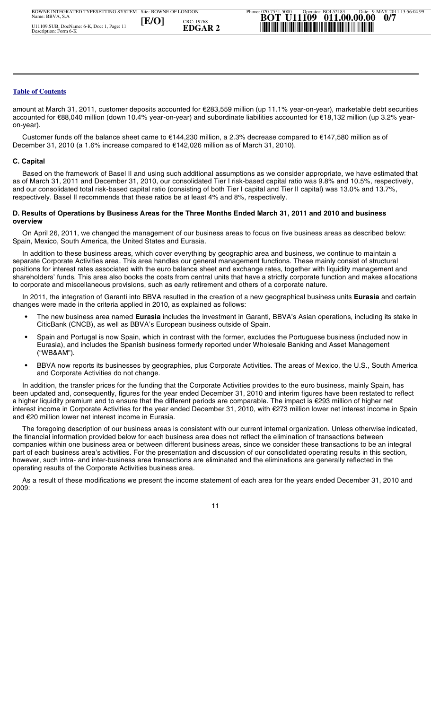amount at March 31, 2011, customer deposits accounted for €283,559 million (up 11.1% year-on-year), marketable debt securities accounted for €88,040 million (down 10.4% year-on-year) and subordinate liabilities accounted for €18,132 million (up 3.2% yearon-year).

 Customer funds off the balance sheet came to €144,230 million, a 2.3% decrease compared to €147,580 million as of December 31, 2010 (a 1.6% increase compared to €142,026 million as of March 31, 2010).

#### **C. Capital**

 Based on the framework of Basel II and using such additional assumptions as we consider appropriate, we have estimated that as of March 31, 2011 and December 31, 2010, our consolidated Tier I risk-based capital ratio was 9.8% and 10.5%, respectively, and our consolidated total risk-based capital ratio (consisting of both Tier I capital and Tier II capital) was 13.0% and 13.7%, respectively. Basel II recommends that these ratios be at least 4% and 8%, respectively.

#### **D. Results of Operations by Business Areas for the Three Months Ended March 31, 2011 and 2010 and business overview**

 On April 26, 2011, we changed the management of our business areas to focus on five business areas as described below: Spain, Mexico, South America, the United States and Eurasia.

 In addition to these business areas, which cover everything by geographic area and business, we continue to maintain a separate Corporate Activities area. This area handles our general management functions. These mainly consist of structural positions for interest rates associated with the euro balance sheet and exchange rates, together with liquidity management and shareholders' funds. This area also books the costs from central units that have a strictly corporate function and makes allocations to corporate and miscellaneous provisions, such as early retirement and others of a corporate nature.

 In 2011, the integration of Garanti into BBVA resulted in the creation of a new geographical business units **Eurasia** and certain changes were made in the criteria applied in 2010, as explained as follows:

- **•** The new business area named **Eurasia** includes the investment in Garanti, BBVA's Asian operations, including its stake in CiticBank (CNCB), as well as BBVA's European business outside of Spain.
- **•** Spain and Portugal is now Spain, which in contrast with the former, excludes the Portuguese business (included now in Eurasia), and includes the Spanish business formerly reported under Wholesale Banking and Asset Management ("WB&AM").
- **•** BBVA now reports its businesses by geographies, plus Corporate Activities. The areas of Mexico, the U.S., South America and Corporate Activities do not change.

d<br>G<br>i<br>G **0**<br>01<br>nt In addition, the transfer prices for the funding that the Corporate Activities provides to the euro business, mainly Spain, has been updated and, consequently, figures for the year ended December 31, 2010 and interim figures have been restated to reflect a higher liquidity premium and to ensure that the different periods are comparable. The impact is €293 million of higher net interest income in Corporate Activities for the year ended December 31, 2010, with €273 million lower net interest income in Spain and €20 million lower net interest income in Eurasia.

Phone: 020-7551-5000 un<br>he<br>00 part of each business area's activities. For the presentation and discussion of our consolidated operating results in this section<br>however, such intra- and inter-business area transactions are eliminated and the eliminatio **■**<br>In a een u<br>high<br>teres of *EZ*<br>The fin<br>proposerat<br>As<br>009: The foregoing description of our business areas is consistent with our current internal organization. Unless otherwise indicated, the financial information provided below for each business area does not reflect the elimination of transactions between companies within one business area or between different business areas, since we consider these transactions to be an integral part of each business area's activities. For the presentation and discussion of our consolidated operating results in this section, operating results of the Corporate Activities business area.

 As a result of these modifications we present the income statement of each area for the years ended December 31, 2010 and 2009: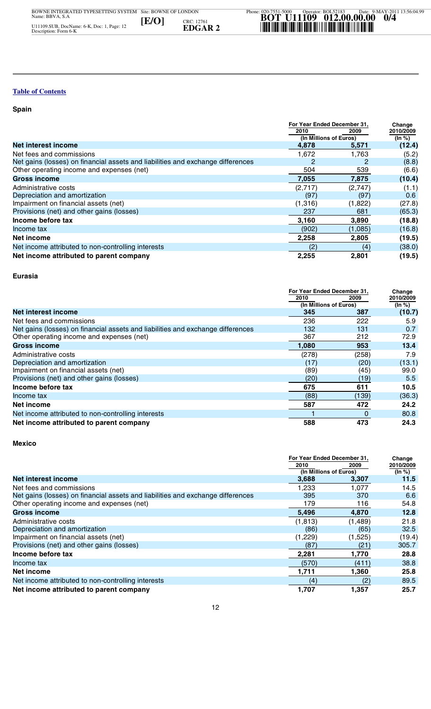#### **Spain**

i.

|                                                                                 | For Year Ended December 31, |         | Change           |
|---------------------------------------------------------------------------------|-----------------------------|---------|------------------|
|                                                                                 | 2010                        | 2009    | 2010/2009        |
|                                                                                 | (In Millions of Euros)      |         | (ln %)           |
| <b>Net interest income</b>                                                      | 4,878                       | 5,571   | (12.4)           |
| Net fees and commissions                                                        | 1,672                       | 1,763   | (5.2)            |
| Net gains (losses) on financial assets and liabilities and exchange differences |                             |         | (8.8)            |
| Other operating income and expenses (net)                                       | 504                         | 539     | (6.6)            |
| Gross income                                                                    | 7,055                       | 7,875   | (10.4)           |
| Administrative costs                                                            | (2,717)                     | (2,747) | (1.1)            |
| Depreciation and amortization                                                   | (97)                        | (97)    | 0.6 <sub>1</sub> |
| Impairment on financial assets (net)                                            | (1,316)                     | (1,822) | (27.8)           |
| Provisions (net) and other gains (losses)                                       | 237                         | 681     | (65.3)           |
| Income before tax                                                               | 3,160                       | 3,890   | (18.8)           |
| Income tax                                                                      | (902)                       | (1,085) | (16.8)           |
| Net income                                                                      | 2,258                       | 2,805   | (19.5)           |
| Net income attributed to non-controlling interests                              | (2)                         | (4)     | (38.0)           |
| Net income attributed to parent company                                         | 2,255                       | 2,801   | (19.5)           |

#### **Eurasia**

|                                                                                 | For Year Ended December 31, |       | Change    |
|---------------------------------------------------------------------------------|-----------------------------|-------|-----------|
|                                                                                 | 2010                        | 2009  | 2010/2009 |
|                                                                                 | (In Millions of Euros)      |       | (In %)    |
| Net interest income                                                             | 345                         | 387   | (10.7)    |
| Net fees and commissions                                                        | 236                         | 222   | 5.9       |
| Net gains (losses) on financial assets and liabilities and exchange differences | 132                         | 131   | 0.7       |
| Other operating income and expenses (net)                                       | 367                         | 212   | 72.9      |
| <b>Gross income</b>                                                             | 1,080                       | 953   | 13.4      |
| Administrative costs                                                            | (278)                       | (258) | 7.9       |
| Depreciation and amortization                                                   | (17)                        | (20)  | (13.1)    |
| Impairment on financial assets (net)                                            | (89)                        | (45)  | 99.0      |
| Provisions (net) and other gains (losses)                                       | (20)                        | (19)  | 5.5       |
| Income before tax                                                               | 675                         | 611   | 10.5      |
| Income tax                                                                      | (88)                        | (139) | (36.3)    |
| Net income                                                                      | 587                         | 472   | 24.2      |
| Net income attributed to non-controlling interests                              |                             | 0     | 80.8      |
| Net income attributed to parent company                                         | 588                         | 473   | 24.3      |
| <b>Mexico</b>                                                                   |                             |       |           |

| Depreciation and amortization                                                   | (17)                           | (20)         | (13.1)              |
|---------------------------------------------------------------------------------|--------------------------------|--------------|---------------------|
| Impairment on financial assets (net)                                            | (89)                           | (45)         | 99.0                |
| Provisions (net) and other gains (losses)                                       | (20)                           | (19)         | 5.5                 |
| Income before tax                                                               | 675                            | 611          | 10.5                |
| Income tax                                                                      | (88)                           | (139)        | (36.3)              |
| <b>Net income</b>                                                               | 587                            | 472          | 24.2                |
| Net income attributed to non-controlling interests                              |                                | $\mathbf{0}$ | 80.8                |
| Net income attributed to parent company                                         | 588                            | 473          | 24.3                |
| <b>Mexico</b>                                                                   |                                |              |                     |
|                                                                                 | For Year Ended December 31,    |              | Change              |
|                                                                                 | 2010<br>(In Millions of Euros) | 2009         | 2010/2009<br>(ln %) |
| <b>Net interest income</b>                                                      | 3,688                          | 3,307        | 11.5                |
| Net fees and commissions                                                        | 1.233                          | 1.077        | 14.5                |
| Net gains (losses) on financial assets and liabilities and exchange differences | 395                            | 370          | 6.6                 |
| Other operating income and expenses (net)                                       | 179                            | 116          | 54.8                |
| <b>Gross income</b>                                                             | 5,496                          | 4.870        | 12.8                |
| Administrative costs                                                            | (1, 813)                       | (1,489)      | 21.8                |
| Depreciation and amortization                                                   | (86)                           | (65)         | 32.5                |
| Impairment on financial assets (net)                                            | (1,229)                        | (1,525)      | (19.4)              |
| Provisions (net) and other gains (losses)                                       | (87)                           | (21)         | 305.7               |
| Income before tax                                                               | 2,281                          | 1,770        | 28.8                |
| Income tax                                                                      | (570)                          | (411)        | 38.8                |
| <b>Net income</b>                                                               | 1,711                          | 1,360        | 25.8                |
| Net income attributed to non-controlling interests                              | (4)                            | (2)          | 89.5                |
| Net income attributed to parent company                                         | 1,707                          | 1,357        | 25.7                |
|                                                                                 |                                |              |                     |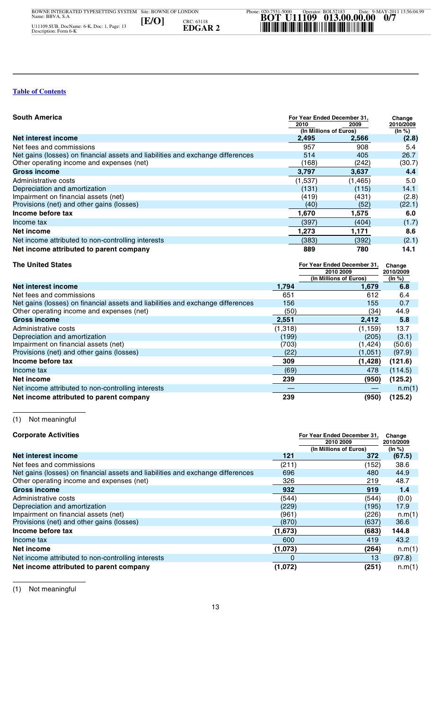| <b>South America</b>                                                            | For Year Ended December 31,<br>2010<br>(In Millions of Euros) | 2009     | Change<br>2010/2009<br>(ln %) |
|---------------------------------------------------------------------------------|---------------------------------------------------------------|----------|-------------------------------|
| Net interest income                                                             | 2,495                                                         | 2,566    | (2.8)                         |
| Net fees and commissions                                                        | 957                                                           | 908      | 5.4                           |
| Net gains (losses) on financial assets and liabilities and exchange differences | 514                                                           | 405      | 26.7                          |
| Other operating income and expenses (net)                                       | (168)                                                         | (242)    | (30.7)                        |
| <b>Gross income</b>                                                             | 3,797                                                         | 3,637    | 4.4                           |
| Administrative costs                                                            | (1,537)                                                       | (1, 465) | 5.0                           |
| Depreciation and amortization                                                   | (131)                                                         | (115)    | 14.1                          |
| Impairment on financial assets (net)                                            | (419)                                                         | (431)    | (2.8)                         |
| Provisions (net) and other gains (losses)                                       | (40)                                                          | (52)     | (22.1)                        |
| Income before tax                                                               | 1,670                                                         | 1,575    | 6.0                           |
| Income tax                                                                      | (397)                                                         | (404)    | (1.7)                         |
| Net income                                                                      | 1,273                                                         | 1,171    | 8.6                           |
| Net income attributed to non-controlling interests                              | (383)                                                         | (392)    | (2.1)                         |
| Net income attributed to parent company                                         | 889                                                           | 780      | 14.1                          |

| <b>The United States</b>                                                        |         | For Year Ended December 31. | Change    |
|---------------------------------------------------------------------------------|---------|-----------------------------|-----------|
|                                                                                 |         | 2010 2009                   | 2010/2009 |
|                                                                                 |         | (In Millions of Euros)      | (In %)    |
| Net interest income                                                             | 1,794   | 1,679                       | 6.8       |
| Net fees and commissions                                                        | 651     | 612                         | 6.4       |
| Net gains (losses) on financial assets and liabilities and exchange differences | 156     | 155                         | 0.7       |
| Other operating income and expenses (net)                                       | (50)    | (34)                        | 44.9      |
| <b>Gross income</b>                                                             | 2,551   | 2,412                       | 5.8       |
| Administrative costs                                                            | (1,318) | (1, 159)                    | 13.7      |
| Depreciation and amortization                                                   | (199)   | (205)                       | (3.1)     |
| Impairment on financial assets (net)                                            | (703)   | (1, 424)                    | (50.6)    |
| Provisions (net) and other gains (losses)                                       | (22)    | (1,051)                     | (97.9)    |
| Income before tax                                                               | 309     | (1, 428)                    | (121.6)   |
| Income tax                                                                      | (69)    | 478                         | (114.5)   |
| Net income                                                                      | 239     | (950)                       | (125.2)   |
| Net income attributed to non-controlling interests                              |         |                             | n.m(1)    |
| Net income attributed to parent company                                         | 239     | (950)                       | (125.2)   |
|                                                                                 |         |                             |           |
| Not meaningful<br>(1)                                                           |         |                             |           |
|                                                                                 |         |                             |           |

| income petore tax                                                               | 309     | (1,428)                                                            | (121.6)                       |
|---------------------------------------------------------------------------------|---------|--------------------------------------------------------------------|-------------------------------|
| Income tax                                                                      | (69)    | 478                                                                | (114.5)                       |
| <b>Net income</b>                                                               | 239     | (950)                                                              | (125.2)                       |
| Net income attributed to non-controlling interests                              |         |                                                                    | n.m(1)                        |
| Net income attributed to parent company                                         | 239     | (950)                                                              | (125.2)                       |
| Not meaningful<br>(1)                                                           |         |                                                                    |                               |
| <b>Corporate Activities</b>                                                     |         | For Year Ended December 31.<br>2010 2009<br>(In Millions of Euros) | Change<br>2010/2009<br>(ln %) |
| Net interest income                                                             | 121     | 372                                                                | (67.5)                        |
| Net fees and commissions                                                        | (211)   | (152)                                                              | 38.6                          |
| Net gains (losses) on financial assets and liabilities and exchange differences | 696     | 480                                                                | 44.9                          |
| Other operating income and expenses (net)                                       | 326     | 219                                                                | 48.7                          |
| <b>Gross income</b>                                                             | 932     | 919                                                                | $1.4$                         |
| Administrative costs                                                            | (544)   | (544)                                                              | (0.0)                         |
| Depreciation and amortization                                                   | (229)   | (195)                                                              | 17.9                          |
| Impairment on financial assets (net)                                            | (961)   | (226)                                                              | n.m(1)                        |
| Provisions (net) and other gains (losses)                                       | (870)   | (637)                                                              | 36.6                          |
| Income before tax                                                               | (1,673) | (683)                                                              | 144.8                         |
| Income tax                                                                      | 600     | 419                                                                | 43.2                          |
| <b>Net income</b>                                                               | (1,073) | (264)                                                              | n.m(1)                        |
| Net income attributed to non-controlling interests                              | 0       | 13                                                                 | (97.8)                        |
| Net income attributed to parent company                                         | (1,072) | (251)                                                              | n.m(1)                        |
| (1)<br>Not meaningful                                                           |         |                                                                    |                               |

(1) Not meaningful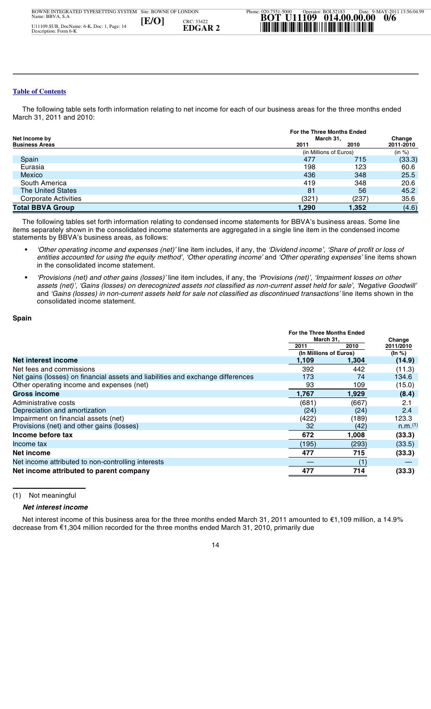The following table sets forth information relating to net income for each of our business areas for the three months ended March 31, 2011 and 2010:

| Net Income by               |       | For the Three Months Ended<br>March 31, |           |  |
|-----------------------------|-------|-----------------------------------------|-----------|--|
| <b>Business Areas</b>       | 2011  | 2010                                    | 2011-2010 |  |
|                             |       | (in Millions of Euros)                  | (in %)    |  |
| Spain                       | 477   | 715                                     | (33.3)    |  |
| Eurasia                     | 198   | 123                                     | 60.6      |  |
| Mexico                      | 436   | 348                                     | 25.5      |  |
| South America               | 419   | 348                                     | 20.6      |  |
| <b>The United States</b>    | 81    | 56                                      | 45.2      |  |
| <b>Corporate Activities</b> | (321  | (237)                                   | 35.6      |  |
| <b>Total BBVA Group</b>     | 1,290 | 1.352                                   | (4.6)     |  |

 The following tables set forth information relating to condensed income statements for BBVA's business areas. Some line items separately shown in the consolidated income statements are aggregated in a single line item in the condensed income statements by BBVA's business areas, as follows:

- **•** *'Other operating income and expenses (net)'* line item includes, if any, the *'Dividend income', 'Share of profit or loss of entities accounted for using the equity method', 'Other operating income'* and *'Other operating expenses'* line items shown in the consolidated income statement.
- **•** *'Provisions (net) and other gains (losses)'* line item includes, if any, the *'Provisions (net)', 'Impairment losses on other assets (net)', 'Gains (losses) on derecognized assets not classified as non-current asset held for sale', 'Negative Goodwill'* and *'Gains (losses) in non-current assets held for sale not classified as discontinued transactions'* line items shown in the consolidated income statement.

#### **Spain**

| Spain                                                                                                                                                                                                                     |                                         |       |                  |  |        |  |
|---------------------------------------------------------------------------------------------------------------------------------------------------------------------------------------------------------------------------|-----------------------------------------|-------|------------------|--|--------|--|
|                                                                                                                                                                                                                           | For the Three Months Ended<br>March 31, |       |                  |  | Change |  |
|                                                                                                                                                                                                                           | 2011                                    | 2010  | 2011/2010        |  |        |  |
| Net interest income                                                                                                                                                                                                       | (In Millions of Euros)<br>1,109         | 1.304 | (ln %)<br>(14.9) |  |        |  |
| Net fees and commissions                                                                                                                                                                                                  | 392                                     | 442   |                  |  |        |  |
| Net gains (losses) on financial assets and liabilities and exchange differences                                                                                                                                           | 173                                     | 74    | (11.3)<br>134.6  |  |        |  |
| Other operating income and expenses (net)                                                                                                                                                                                 | 93                                      | 109   | (15.0)           |  |        |  |
| <b>Gross income</b>                                                                                                                                                                                                       | 1,767                                   | 1,929 | (8.4)            |  |        |  |
| Administrative costs                                                                                                                                                                                                      | (681)                                   | (667) | 2.1              |  |        |  |
| Depreciation and amortization                                                                                                                                                                                             | (24)                                    | (24)  | 2.4              |  |        |  |
| Impairment on financial assets (net)                                                                                                                                                                                      | (422)                                   | (189) | 123.3            |  |        |  |
| Provisions (net) and other gains (losses)                                                                                                                                                                                 | 32                                      | (42)  | n.m.(1)          |  |        |  |
| Income before tax                                                                                                                                                                                                         | 672                                     | 1,008 | (33.3)           |  |        |  |
| Income tax                                                                                                                                                                                                                | (195)                                   | (293) | (33.5)           |  |        |  |
| <b>Net income</b>                                                                                                                                                                                                         | 477                                     | 715   | (33.3)           |  |        |  |
| Net income attributed to non-controlling interests                                                                                                                                                                        |                                         | (1)   |                  |  |        |  |
| Net income attributed to parent company                                                                                                                                                                                   | 477                                     | 714   | (33.3)           |  |        |  |
|                                                                                                                                                                                                                           |                                         |       |                  |  |        |  |
| Not meaningful<br>(1)                                                                                                                                                                                                     |                                         |       |                  |  |        |  |
| Net interest income                                                                                                                                                                                                       |                                         |       |                  |  |        |  |
| Net interest income of this business area for the three months ended March 31, 2011 amounted to €1,109 million, a 14.9%<br>decrease from €1,304 million recorded for the three months ended March 31, 2010, primarily due |                                         |       |                  |  |        |  |
| 14                                                                                                                                                                                                                        |                                         |       |                  |  |        |  |
|                                                                                                                                                                                                                           |                                         |       |                  |  |        |  |
|                                                                                                                                                                                                                           |                                         |       |                  |  |        |  |
|                                                                                                                                                                                                                           |                                         |       |                  |  |        |  |
|                                                                                                                                                                                                                           |                                         |       |                  |  |        |  |

#### *Net interest income*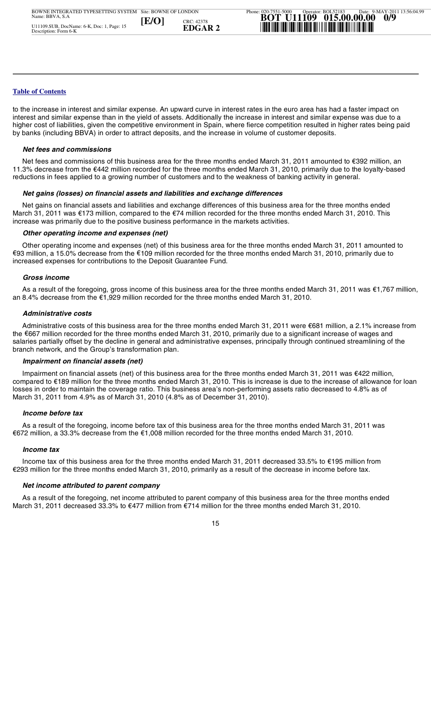to the increase in interest and similar expense. An upward curve in interest rates in the euro area has had a faster impact on interest and similar expense than in the yield of assets. Additionally the increase in interest and similar expense was due to a higher cost of liabilities, given the competitive environment in Spain, where fierce competition resulted in higher rates being paid by banks (including BBVA) in order to attract deposits, and the increase in volume of customer deposits.

#### *Net fees and commissions*

Net fees and commissions of this business area for the three months ended March 31, 2011 amounted to €392 million, an 11.3% decrease from the €442 million recorded for the three months ended March 31, 2010, primarily due to the loyalty-based reductions in fees applied to a growing number of customers and to the weakness of banking activity in general.

#### *Net gains (losses) on financial assets and liabilities and exchange differences*

 Net gains on financial assets and liabilities and exchange differences of this business area for the three months ended March 31, 2011 was €173 million, compared to the €74 million recorded for the three months ended March 31, 2010. This increase was primarily due to the positive business performance in the markets activities.

#### *Other operating income and expenses (net)*

 Other operating income and expenses (net) of this business area for the three months ended March 31, 2011 amounted to €93 million, a 15.0% decrease from the €109 million recorded for the three months ended March 31, 2010, primarily due to increased expenses for contributions to the Deposit Guarantee Fund.

#### *Gross income*

 As a result of the foregoing, gross income of this business area for the three months ended March 31, 2011 was €1,767 million, an 8.4% decrease from the €1,929 million recorded for the three months ended March 31, 2010.

#### *Administrative costs*

 $\begin{bmatrix} 1 \\ 2 \\ 3 \\ 1 \end{bmatrix}$ salaries partially offset by the decline in general and administrative expenses, principally through continued streamlining of the<br>branch network, and the Groun's transformation plan Administrative costs of this business area for the three months ended March 31, 2011 were €681 million, a 2.1% increase from the €667 million recorded for the three months ended March 31, 2010, primarily due to a significant increase of wages and branch network, and the Group's transformation plan.

#### *Impairment on financial assets (net)*

 $\frac{1}{2}$ on<br>0<br>Ma **IM**<br>
Impompasses<br>
sarch<br> **Inc As**<br>
As<br>
As<br>
As<br>
As<br>
arch Impairment on financial assets (net) of this business area for the three months ended March 31, 2011 was €422 million, compared to €189 million for the three months ended March 31, 2010. This is increase is due to the increase of allowance for loan losses in order to maintain the coverage ratio. This business area's non-performing assets ratio decreased to 4.8% as of March 31, 2011 from 4.9% as of March 31, 2010 (4.8% as of December 31, 2010).

#### *Income before tax*

**U11109** As a result of the foregoing, income before tax of this business area for the three months ended March 31, 2011 was €672 million, a 33.3% decrease from the €1,008 million recorded for the three months ended March 31, 2010.

#### *Income tax*

Phone: 020-7551-5000

Income tax of this business area for the three months ended March 31, 2011 decreased 33.5% to €195 million fro<br>.£293 million for the three months ended March 31, 2010, primarily as a result of the decrease in income befor Income tax of this business area for the three months ended March 31, 2011 decreased 33.5% to €195 million from

#### *Net income attributed to parent company*

 As a result of the foregoing, net income attributed to parent company of this business area for the three months ended March 31, 2011 decreased 33.3% to €477 million from €714 million for the three months ended March 31, 2010.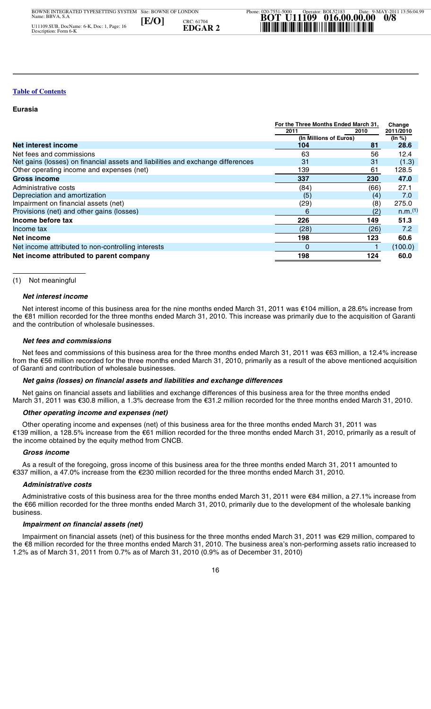#### **Eurasia**

|                                                                                 | For the Three Months Ended March 31. |      | Change                |
|---------------------------------------------------------------------------------|--------------------------------------|------|-----------------------|
|                                                                                 | 2011                                 | 2010 | 2011/2010             |
|                                                                                 | (In Millions of Euros)               |      | (In %)                |
| <b>Net interest income</b>                                                      | 104                                  | 81   | 28.6                  |
| Net fees and commissions                                                        | 63                                   | 56   | 12.4                  |
| Net gains (losses) on financial assets and liabilities and exchange differences | 31                                   | 31   | (1.3)                 |
| Other operating income and expenses (net)                                       | 139                                  | 61   | 128.5                 |
| Gross income                                                                    | 337                                  | 230  | 47.0                  |
| Administrative costs                                                            | (84)                                 | (66) | 27.1                  |
| Depreciation and amortization                                                   | (5)                                  | (4)  | 7.0                   |
| Impairment on financial assets (net)                                            | (29)                                 | (8)  | 275.0                 |
| Provisions (net) and other gains (losses)                                       | 6                                    | (2)  | $n.m.$ <sup>(1)</sup> |
| Income before tax                                                               | 226                                  | 149  | 51.3                  |
| Income tax                                                                      | (28)                                 | (26) | 7.2                   |
| Net income                                                                      | 198                                  | 123  | 60.6                  |
| Net income attributed to non-controlling interests                              | 0                                    |      | (100.0)               |
| Net income attributed to parent company                                         | 198                                  | 124  | 60.0                  |

(1) Not meaningful

#### *Net interest income*

 Net interest income of this business area for the nine months ended March 31, 2011 was €104 million, a 28.6% increase from the €81 million recorded for the three months ended March 31, 2010. This increase was primarily due to the acquisition of Garanti and the contribution of wholesale businesses.

#### *Net fees and commissions*

 $\begin{array}{c}\n 1 \\
 4 \\
 1 \\
 4\n \end{array}$  Net fees and commissions of this business area for the three months ended March 31, 2011 was €63 million, a 12.4% increase from the €56 million recorded for the three months ended March 31, 2010, primarily as a result of the above mentioned acquisition of Garanti and contribution of wholesale businesses.

#### *Net gains (losses) on financial assets and liabilities and exchange differences*

 $\begin{array}{c}\n\hline\n\end{array}$ rol<br>of <mark>(</mark><br>Ma Net gains on financial assets and liabilities and exchange differences of this business area for the three months ended March 31, 2011 was €30.8 million, a 1.3% decrease from the €31.2 million recorded for the three months ended March 31, 2010.

#### *Other operating income and expenses (net)*

<sup>€1;</sup><br>he Other operating income and expenses (net) of this business area for the three months ended March 31, 2011 was €139 million, a 128.5% increase from the €61 million recorded for the three months ended March 31, 2010, primarily as a result of the income obtained by the equity method from CNCB.

#### *Gross income*

Phone: 020-7551-5000 **BOTIS INCOTE**<br>Both a result of the foregoing, gross income of this business area for the three months ended March 31, 2010.<br>€337 million, a 47.0% increase from the €230 million recorded for the three months ended March 3 As a result of the foregoing, gross income of this business area for the three months ended March 31, 2011 amounted to

#### *Administrative costs*

bin tri Gar<br> **Ne:** Net arch *Ott*<br>
Ott 139 r Gr As<br>
Add e €6<br>
Limp<br>
Imp<br>
Imp<br>
E €8<br>
2% a Administrative costs of this business area for the three months ended March 31, 2011 were €84 million, a 27.1% increase from the €66 million recorded for the three months ended March 31, 2010, primarily due to the development of the wholesale banking business.

#### *Impairment on financial assets (net)*

.<br>.<br>. . Site: BOWNE OF LONDON Impairment on financial assets (net) of this business for the three months ended March 31, 2011 was €29 million, compared to the €8 million recorded for the three months ended March 31, 2010. The business area's non-performing assets ratio increased to 1.2% as of March 31, 2011 from 0.7% as of March 31, 2010 (0.9% as of December 31, 2010)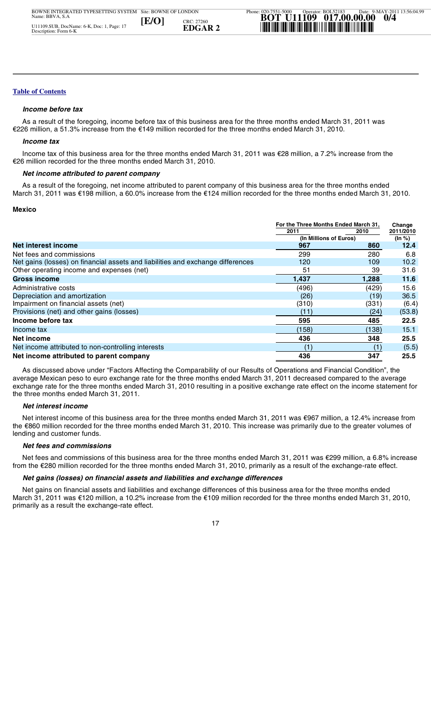#### *Income before tax*

 As a result of the foregoing, income before tax of this business area for the three months ended March 31, 2011 was €226 million, a 51.3% increase from the €149 million recorded for the three months ended March 31, 2010.

#### *Income tax*

 Income tax of this business area for the three months ended March 31, 2011 was €28 million, a 7.2% increase from the €26 million recorded for the three months ended March 31, 2010.

#### *Net income attributed to parent company*

 As a result of the foregoing, net income attributed to parent company of this business area for the three months ended March 31, 2011 was €198 million, a 60.0% increase from the €124 million recorded for the three months ended March 31, 2010.

#### **Mexico**

|                                                                                                                          | For the Three Months Ended March 31. |       | Change              |
|--------------------------------------------------------------------------------------------------------------------------|--------------------------------------|-------|---------------------|
|                                                                                                                          | 2011<br>(In Millions of Euros)       | 2010  | 2011/2010<br>(In %) |
| Net interest income                                                                                                      | 967                                  | 860   | 12.4                |
| Net fees and commissions                                                                                                 | 299                                  | 280   | 6.8                 |
| Net gains (losses) on financial assets and liabilities and exchange differences                                          | 120                                  | 109   | 10.2                |
| Other operating income and expenses (net)                                                                                | 51                                   | 39    | 31.6                |
| Gross income                                                                                                             | 1,437                                | 1,288 | 11.6                |
| Administrative costs                                                                                                     | (496)                                | (429) | 15.6                |
| Depreciation and amortization                                                                                            | (26)                                 | (19)  | 36.5                |
| Impairment on financial assets (net)                                                                                     | (310)                                | (331) | (6.4)               |
| Provisions (net) and other gains (losses)                                                                                | (11)                                 | (24)  | (53.8)              |
| Income before tax                                                                                                        | 595                                  | 485   | 22.5                |
| Income tax                                                                                                               | (158)                                | (138) | 15.1                |
| Net income                                                                                                               | 436                                  | 348   | 25.5                |
| Net income attributed to non-controlling interests                                                                       | (1)                                  |       | (5.5)               |
| Net income attributed to parent company                                                                                  | 436                                  | 347   | 25.5                |
| As discussed above under "Factors Affecting the Comparability of our Results of Operations and Financial Condition", the |                                      |       |                     |

**0**<br>ave<br>he<br>he As<br>
verage thr<br> **Keintrick Reading**<br> **New Net Net Alexandring**<br> **New Net Alexandring**  As discussed above under "Factors Affecting the Comparability of our Results of Operations and Financial Condition", the average Mexican peso to euro exchange rate for the three months ended March 31, 2011 decreased compared to the average exchange rate for the three months ended March 31, 2010 resulting in a positive exchange rate effect on the income statement for the three months ended March 31, 2011.

#### *Net interest income*

t<br>t Net interest income of this business area for the three months ended March 31, 2011 was €967 million, a 12.4% increase from<br>the €860 million recorded for the three months ended March 31, 2010. This increase was primarily Net interest income of this business area for the three months ended March 31, 2011 was €967 million, a 12.4% increase from lending and customer funds.

#### *Net fees and commissions*

Phone: 020-7551-500-7551-500-7551-500-7551-500-7551-500-7551-500-7551-500-7551-500-7551-500-7551-500-7551-500-7551-500-7551-500-7551-500-7551-500-7551-500-7551-500-7551-500-7551-500-7551-500-7551-500-7551-500-7551-500-7551 Net fees and commissions of this business area for the three months ended March 31, 2011 was €299 million, a 6.8% inc<br>from the €280 million recorded for the three months ended March 31, 2010, primarily as a result of the Net fees and commissions of this business area for the three months ended March 31, 2011 was €299 million, a 6.8% increase

#### *Net gains (losses) on financial assets and liabilities and exchange differences*

 Net gains on financial assets and liabilities and exchange differences of this business area for the three months ended March 31, 2011 was €120 million, a 10.2% increase from the €109 million recorded for the three months ended March 31, 2010, primarily as a result the exchange-rate effect.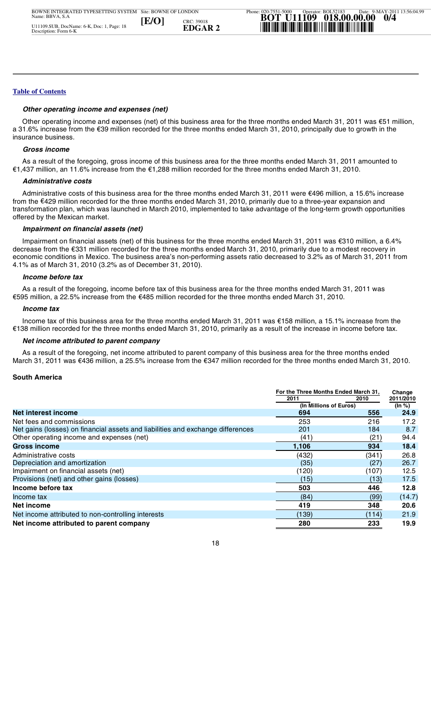#### *Other operating income and expenses (net)*

 Other operating income and expenses (net) of this business area for the three months ended March 31, 2011 was €51 million, a 31.6% increase from the €39 million recorded for the three months ended March 31, 2010, principally due to growth in the insurance business.

#### *Gross income*

 As a result of the foregoing, gross income of this business area for the three months ended March 31, 2011 amounted to €1,437 million, an 11.6% increase from the €1,288 million recorded for the three months ended March 31, 2010.

#### *Administrative costs*

 Administrative costs of this business area for the three months ended March 31, 2011 were €496 million, a 15.6% increase from the €429 million recorded for the three months ended March 31, 2010, primarily due to a three-year expansion and transformation plan, which was launched in March 2010, implemented to take advantage of the long-term growth opportunities offered by the Mexican market.

#### *Impairment on financial assets (net)*

 Impairment on financial assets (net) of this business for the three months ended March 31, 2011 was €310 million, a 6.4% decrease from the €331 million recorded for the three months ended March 31, 2010, primarily due to a modest recovery in economic conditions in Mexico. The business area's non-performing assets ratio decreased to 3.2% as of March 31, 2011 from 4.1% as of March 31, 2010 (3.2% as of December 31, 2010).

#### *Income before tax*

 As a result of the foregoing, income before tax of this business area for the three months ended March 31, 2011 was €595 million, a 22.5% increase from the €485 million recorded for the three months ended March 31, 2010.

#### *Income tax*

 Income tax of this business area for the three months ended March 31, 2011 was €158 million, a 15.1% increase from the €138 million recorded for the three months ended March 31, 2010, primarily as a result of the increase in income before tax.

#### *Net income attributed to parent company*

Date: 9-MAY-2011 13:56:04.99 As a result of the foregoing, net income attributed to parent company of this business area for the three months ended March 31, 2011 was €436 million, a 25.5% increase from the €347 million recorded for the three months ended March 31, 2010.

#### **South America**

| March 31, 2011 was €436 million, a 25.5% increase from the €347 million recorded for the three months ended March 31, 2010. |                                                                        |       |                               |
|-----------------------------------------------------------------------------------------------------------------------------|------------------------------------------------------------------------|-------|-------------------------------|
| <b>South America</b>                                                                                                        |                                                                        |       |                               |
|                                                                                                                             | For the Three Months Ended March 31,<br>2011<br>(In Millions of Euros) | 2010  | Change<br>2011/2010<br>(In %) |
| <b>Net interest income</b>                                                                                                  | 694                                                                    | 556   | 24.9                          |
| Net fees and commissions                                                                                                    | 253                                                                    | 216   | 17.2                          |
| Net gains (losses) on financial assets and liabilities and exchange differences                                             | 201                                                                    | 184   | 8.7                           |
| Other operating income and expenses (net)                                                                                   | (41)                                                                   | (21)  | 94.4                          |
| <b>Gross income</b>                                                                                                         | 1,106                                                                  | 934   | 18.4                          |
| Administrative costs                                                                                                        | (432)                                                                  | (341) | 26.8                          |
| Depreciation and amortization                                                                                               | (35)                                                                   | (27)  | 26.7                          |
| Impairment on financial assets (net)                                                                                        | (120)                                                                  | (107) | 12.5                          |
| Provisions (net) and other gains (losses)                                                                                   | (15)                                                                   | (13)  | 17.5                          |
| Income before tax                                                                                                           | 503                                                                    | 446   | 12.8                          |
| Income tax                                                                                                                  | (84)                                                                   | (99)  | (14.7)                        |
| Net income                                                                                                                  | 419                                                                    | 348   | 20.6                          |
| Net income attributed to non-controlling interests                                                                          | (139)                                                                  | (114) | 21.9                          |
| Net income attributed to parent company                                                                                     | 280                                                                    | 233   | 19.9                          |
| 18                                                                                                                          |                                                                        |       |                               |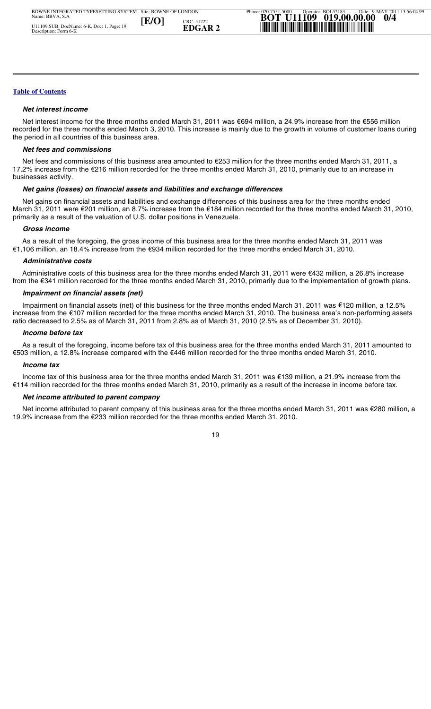#### *Net interest income*

 Net interest income for the three months ended March 31, 2011 was €694 million, a 24.9% increase from the €556 million recorded for the three months ended March 3, 2010. This increase is mainly due to the growth in volume of customer loans during the period in all countries of this business area.

#### *Net fees and commissions*

 Net fees and commissions of this business area amounted to €253 million for the three months ended March 31, 2011, a 17.2% increase from the €216 million recorded for the three months ended March 31, 2010, primarily due to an increase in businesses activity.

#### *Net gains (losses) on financial assets and liabilities and exchange differences*

 Net gains on financial assets and liabilities and exchange differences of this business area for the three months ended March 31, 2011 were €201 million, an 8.7% increase from the €184 million recorded for the three months ended March 31, 2010, primarily as a result of the valuation of U.S. dollar positions in Venezuela.

#### *Gross income*

 As a result of the foregoing, the gross income of this business area for the three months ended March 31, 2011 was €1,106 million, an 18.4% increase from the €934 million recorded for the three months ended March 31, 2010.

#### *Administrative costs*

 Administrative costs of this business area for the three months ended March 31, 2011 were €432 million, a 26.8% increase from the €341 million recorded for the three months ended March 31, 2010, primarily due to the implementation of growth plans.

#### *Impairment on financial assets (net)*

 $\begin{array}{c} \n 1 \\
 1 \\
 2\n \end{array}$  Impairment on financial assets (net) of this business for the three months ended March 31, 2011 was €120 million, a 12.5% increase from the €107 million recorded for the three months ended March 31, 2010. The business area's non-performing assets ratio decreased to 2.5% as of March 31, 2011 from 2.8% as of March 31, 2010 (2.5% as of December 31, 2010).

#### *Income before tax*

 As a result of the foregoing, income before tax of this business area for the three months ended March 31, 2011 amounted to €503 million, a 12.8% increase compared with the €446 million recorded for the three months ended March 31, 2010.

#### *Income tax*

**019.00.00.00 Inc**<br> **lnc**<br> **114 r**<br> **Ne:**<br>
Ne:<br>
9.9% Income tax of this business area for the three months ended March 31, 2011 was €139 million, a 21.9% increase from the €114 million recorded for the three months ended March 31, 2010, primarily as a result of the increase in income before tax.

#### *Net income attributed to parent company*

Operator: BOL52183 .<br>.<br>. Net income attributed to parent company of this business area for the three months ended March 31, 2011 was €280 million, a 19.9% increase from the €233 million recorded for the three months ended March 31, 2010.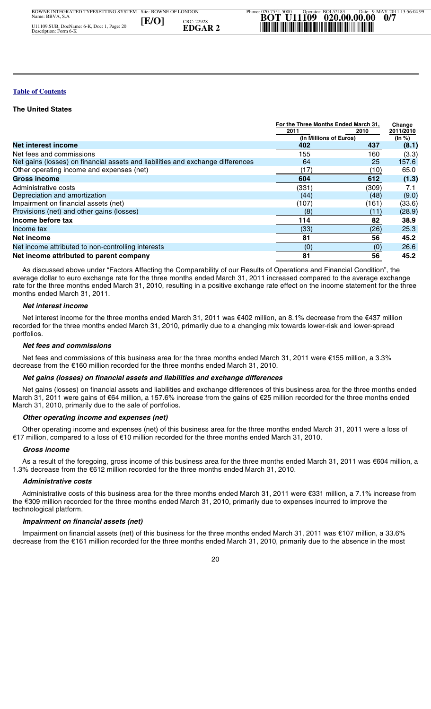#### **The United States**

|                                                                                 | For the Three Months Ended March 31.<br>2011<br>2010<br>(In Millions of Euros) |       | Change<br>2011/2010<br>(ln %) |
|---------------------------------------------------------------------------------|--------------------------------------------------------------------------------|-------|-------------------------------|
|                                                                                 |                                                                                |       |                               |
|                                                                                 |                                                                                |       |                               |
| <b>Net interest income</b>                                                      | 402                                                                            | 437   | (8.1)                         |
| Net fees and commissions                                                        | 155                                                                            | 160   | (3.3)                         |
| Net gains (losses) on financial assets and liabilities and exchange differences | 64                                                                             | 25    | 157.6                         |
| Other operating income and expenses (net)                                       | (17)                                                                           | (10)  | 65.0                          |
| <b>Gross income</b>                                                             | 604                                                                            | 612   | (1.3)                         |
| Administrative costs                                                            | (331)                                                                          | (309) | 7.1                           |
| Depreciation and amortization                                                   | (44)                                                                           | (48)  | (9.0)                         |
| Impairment on financial assets (net)                                            | (107)                                                                          | (161) | (33.6)                        |
| Provisions (net) and other gains (losses)                                       | (8)                                                                            | (11)  | (28.9)                        |
| Income before tax                                                               | 114                                                                            | 82    | 38.9                          |
| Income tax                                                                      | (33)                                                                           | (26)  | 25.3                          |
| Net income                                                                      | 81                                                                             | 56    | 45.2                          |
| Net income attributed to non-controlling interests                              | (0)                                                                            | (0)   | 26.6                          |
| Net income attributed to parent company                                         | 81                                                                             | 56    | 45.2                          |

 As discussed above under "Factors Affecting the Comparability of our Results of Operations and Financial Condition", the average dollar to euro exchange rate for the three months ended March 31, 2011 increased compared to the average exchange rate for the three months ended March 31, 2010, resulting in a positive exchange rate effect on the income statement for the three months ended March 31, 2011.

#### *Net interest income*

 $\begin{array}{c} 1 \\ 1 \\ 2 \end{array}$ Net interest income for the three months ended March 31, 2011 was €402 million, an 8.1% decrease from the €437 million recorded for the three months ended March 31, 2010, primarily due to a changing mix towards lower-risk and lower-spread portfolios.

#### *Net fees and commissions*

 Net fees and commissions of this business area for the three months ended March 31, 2011 were €155 million, a 3.3% decrease from the €160 million recorded for the three months ended March 31, 2010.

#### *Net gains (losses) on financial assets and liabilities and exchange differences*

 $\frac{1}{2}$ de<br>Ma<br>Ma **Example 12**<br> **Net Net Net Accord 2**<br> **Contract Accord 2**<br> **EDGAR 2** 4<br> **Add**<br> **Adde 43**<br> **Adde 43**<br> **Contract And Adde 43**<br> **Contract And Implement**  Net gains (losses) on financial assets and liabilities and exchange differences of this business area for the three months ended March 31, 2011 were gains of €64 million, a 157.6% increase from the gains of €25 million recorded for the three months ended March 31, 2010, primarily due to the sale of portfolios.

#### *Other operating income and expenses (net)*

u<br>11 Other operating income and expenses (net) of this business area for the three months ended March 31, 2011 were a loss of €17 million, compared to a loss of €10 million recorded for the three months ended March 31, 2010.

#### *Gross income*

Phone: 020-7551-5000 As a result of the foregoing, gross income of this business area for the three months end<br>1.3% decrease from the €612 million recorded for the three months ended March 31, 2010. As a result of the foregoing, gross income of this business area for the three months ended March 31, 2011 was €604 million, a

#### *Administrative costs*

 Administrative costs of this business area for the three months ended March 31, 2011 were €331 million, a 7.1% increase from the €309 million recorded for the three months ended March 31, 2010, primarily due to expenses incurred to improve the technological platform.

#### *Impairment on financial assets (net)*

l<br>c Site: BOWNE OF LONDON Impairment on financial assets (net) of this business for the three months ended March 31, 2011 was €107 million, a 33.6% decrease from the €161 million recorded for the three months ended March 31, 2010, primarily due to the absence in the most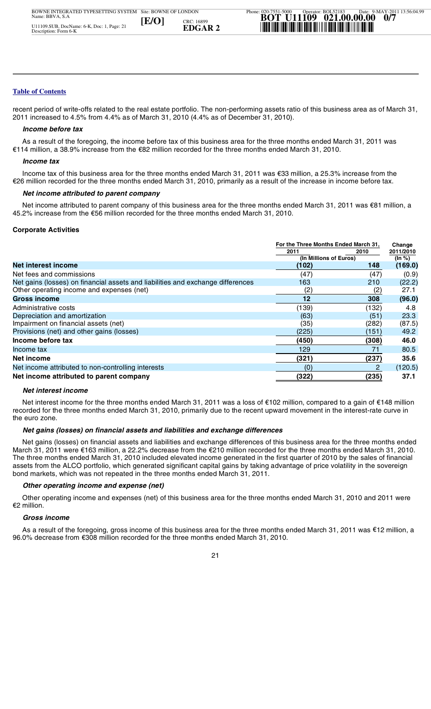recent period of write-offs related to the real estate portfolio. The non-performing assets ratio of this business area as of March 31, 2011 increased to 4.5% from 4.4% as of March 31, 2010 (4.4% as of December 31, 2010).

#### *Income before tax*

 As a result of the foregoing, the income before tax of this business area for the three months ended March 31, 2011 was €114 million, a 38.9% increase from the €82 million recorded for the three months ended March 31, 2010.

#### *Income tax*

 Income tax of this business area for the three months ended March 31, 2011 was €33 million, a 25.3% increase from the €26 million recorded for the three months ended March 31, 2010, primarily as a result of the increase in income before tax.

#### *Net income attributed to parent company*

Net income attributed to parent company of this business area for the three months ended March 31, 2011 was €81 million, a 45.2% increase from the €56 million recorded for the three months ended March 31, 2010.

#### **Corporate Activities**

|                                                                                                                                                                                                                                                                                                                                                                | For the Three Months Ended March 31, |       | Change    |
|----------------------------------------------------------------------------------------------------------------------------------------------------------------------------------------------------------------------------------------------------------------------------------------------------------------------------------------------------------------|--------------------------------------|-------|-----------|
|                                                                                                                                                                                                                                                                                                                                                                | 2011                                 | 2010  | 2011/2010 |
|                                                                                                                                                                                                                                                                                                                                                                | (In Millions of Euros)               |       | (In %)    |
| Net interest income                                                                                                                                                                                                                                                                                                                                            | (102)                                | 148   | (169.0)   |
| Net fees and commissions                                                                                                                                                                                                                                                                                                                                       | (47)                                 | (47)  | (0.9)     |
| Net gains (losses) on financial assets and liabilities and exchange differences                                                                                                                                                                                                                                                                                | 163                                  | 210   | (22.2)    |
| Other operating income and expenses (net)                                                                                                                                                                                                                                                                                                                      | (2)                                  | (2)   | 27.1      |
| <b>Gross income</b>                                                                                                                                                                                                                                                                                                                                            | 12                                   | 308   | (96.0)    |
| Administrative costs                                                                                                                                                                                                                                                                                                                                           | (139)                                | (132) | 4.8       |
| Depreciation and amortization                                                                                                                                                                                                                                                                                                                                  | (63)                                 | (51)  | 23.3      |
| Impairment on financial assets (net)                                                                                                                                                                                                                                                                                                                           | (35)                                 | (282) | (87.5)    |
| Provisions (net) and other gains (losses)                                                                                                                                                                                                                                                                                                                      | (225)                                | (151) | 49.2      |
| Income before tax                                                                                                                                                                                                                                                                                                                                              | (450)                                | (308) | 46.0      |
| Income tax                                                                                                                                                                                                                                                                                                                                                     | 129                                  | 71    | 80.5      |
| Net income                                                                                                                                                                                                                                                                                                                                                     | (321)                                | (237) | 35.6      |
| Net income attributed to non-controlling interests                                                                                                                                                                                                                                                                                                             | (0)                                  |       | (120.5)   |
| Net income attributed to parent company                                                                                                                                                                                                                                                                                                                        | (322)                                | (235) | 37.1      |
| Net interest income                                                                                                                                                                                                                                                                                                                                            |                                      |       |           |
| Net interest income for the three months ended March 31, 2011 was a loss of €102 million, compared to a gain of €148 million<br>represented for the contract contract Monak 04, 0040, indicated to the the recent moment of the fit of the deterministic terms in the street in the state of the fit of the state of the fit of the state of the fit of the st |                                      |       |           |

#### *Net interest income*

n<br>B<br>B Net interest income for the three months ended March 31, 2011 was a loss of €102 million, compared to a gain of €148 million recorded for the three months ended March 31, 2010, primarily due to the recent upward movement in the interest-rate curve in

#### *Net gains (losses) on financial assets and liabilities and exchange differences*

Phone: 020-7551-5000 the euro zone.<br>**Net gains (ICTN)**<br>Net gains (ICTN) The three months ended March 31, 2010 included elevated income generated in the first quarter of 2010 by the sales of financial<br>assets from the ALCO portfolio, which generated significant capital gains by taking advantage **et ince the Metron Metron Metron Metron Metron Metron Metron Metron Metron Metron Metron Oth Oth Christ**<br> **EDGAR 2** The Metron Multimate States and True Assets Song Assons Net gains (losses) on financial assets and liabilities and exchange differences of this business area for the three months ended March 31, 2011 were €163 million, a 22.2% decrease from the €210 million recorded for the three months ended March 31, 2010. assets from the ALCO portfolio, which generated significant capital gains by taking advantage of price volatility in the sovereign bond markets, which was not repeated in the three months ended March 31, 2011.

#### *Other operating income and expense (net)*

 Other operating income and expenses (net) of this business area for the three months ended March 31, 2010 and 2011 were €2 million.

#### *Gross income*

 $\frac{1}{2}$ Site: BOWNE OF LONDON As a result of the foregoing, gross income of this business area for the three months ended March 31, 2011 was €12 million, a 96.0% decrease from €308 million recorded for the three months ended March 31, 2010.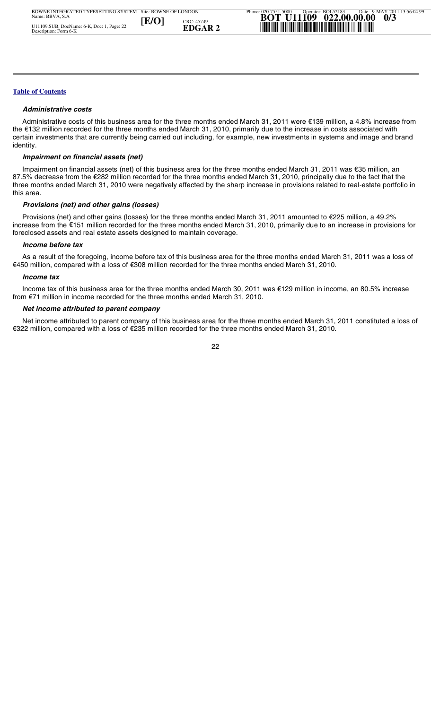#### *Administrative costs*

 Administrative costs of this business area for the three months ended March 31, 2011 were €139 million, a 4.8% increase from the €132 million recorded for the three months ended March 31, 2010, primarily due to the increase in costs associated with certain investments that are currently being carried out including, for example, new investments in systems and image and brand identity.

#### *Impairment on financial assets (net)*

 Impairment on financial assets (net) of this business area for the three months ended March 31, 2011 was €35 million, an 87.5% decrease from the €282 million recorded for the three months ended March 31, 2010, principally due to the fact that the three months ended March 31, 2010 were negatively affected by the sharp increase in provisions related to real-estate portfolio in this area.

#### *Provisions (net) and other gains (losses)*

 Provisions (net) and other gains (losses) for the three months ended March 31, 2011 amounted to €225 million, a 49.2% increase from the €151 million recorded for the three months ended March 31, 2010, primarily due to an increase in provisions for foreclosed assets and real estate assets designed to maintain coverage.

#### *Income before tax*

 As a result of the foregoing, income before tax of this business area for the three months ended March 31, 2011 was a loss of €450 million, compared with a loss of €308 million recorded for the three months ended March 31, 2010.

#### *Income tax*

 Income tax of this business area for the three months ended March 30, 2011 was €129 million in income, an 80.5% increase from €71 million in income recorded for the three months ended March 31, 2010.

#### *Net income attributed to parent company*

Date: 9-MAY-2011 13:56:04.99 Net income attributed to parent company of this business area for the three months ended March 31, 2011 constituted a loss of €322 million, compared with a loss of €235 million recorded for the three months ended March 31, 2010.